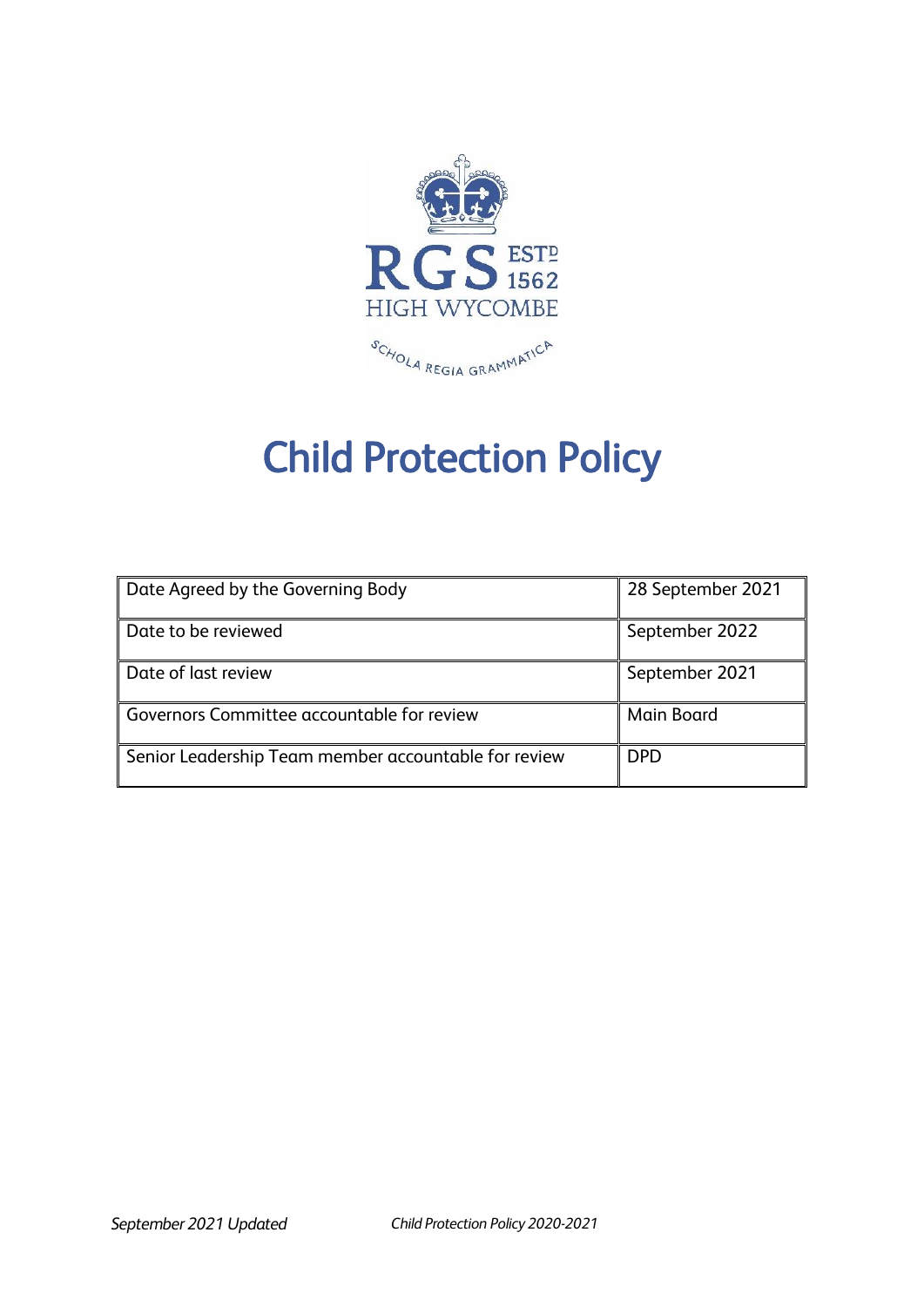

# Child Protection Policy

| Date Agreed by the Governing Body                    | 28 September 2021 |
|------------------------------------------------------|-------------------|
| Date to be reviewed                                  | September 2022    |
| Date of last review                                  | September 2021    |
| Governors Committee accountable for review           | <b>Main Board</b> |
| Senior Leadership Team member accountable for review | <b>DPD</b>        |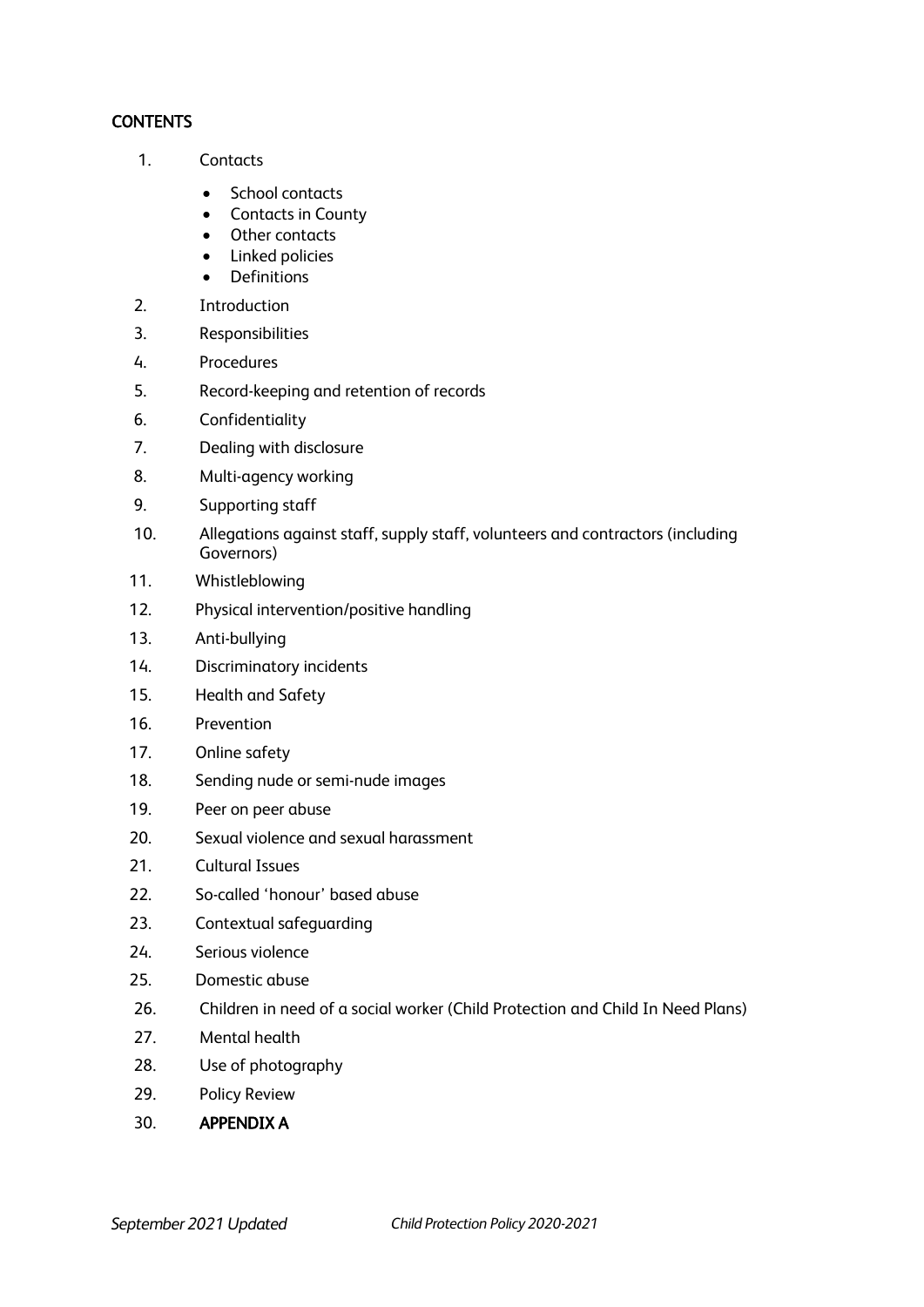#### **CONTENTS**

- 1. Contacts
	- School contacts
	- Contacts in County
	- Other contacts
	- Linked policies
	- Definitions
- 2. Introduction
- 3. Responsibilities
- 4. Procedures
- 5. Record-keeping and retention of records
- 6. Confidentiality
- 7. Dealing with disclosure
- 8. Multi-agency working
- 9. Supporting staff
- 10. Allegations against staff, supply staff, volunteers and contractors (including Governors)
- 11. Whistleblowing
- 12. Physical intervention/positive handling
- 13. Anti-bullying
- 14. Discriminatory incidents
- 15. Health and Safety
- 16. Prevention
- 17. Online safety
- 18. Sending nude or semi-nude images
- 19. Peer on peer abuse
- 20. Sexual violence and sexual harassment
- 21. Cultural Issues
- 22. So-called 'honour' based abuse
- 23. Contextual safeguarding
- 24. Serious violence
- 25. Domestic abuse
- 26. Children in need of a social worker (Child Protection and Child In Need Plans)
- 27. Mental health
- 28. Use of photography
- 29. Policy Review
- 30. APPENDIX A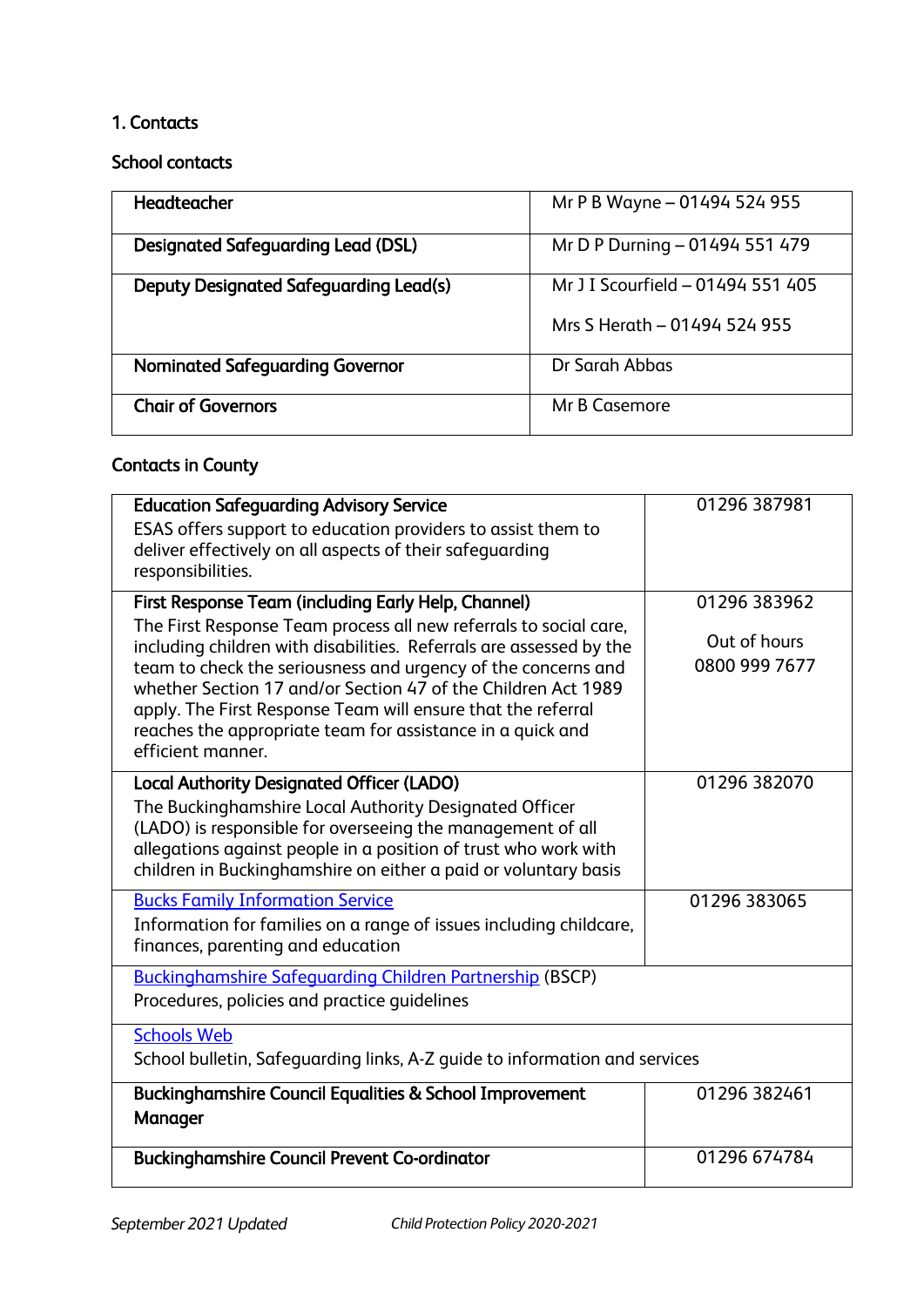# 1. Contacts

School contacts

| <b>Headteacher</b>                            | Mr P B Wayne - 01494 524 955                                      |
|-----------------------------------------------|-------------------------------------------------------------------|
| <b>Designated Safeguarding Lead (DSL)</b>     | Mr D P Durning - 01494 551 479                                    |
| <b>Deputy Designated Safeguarding Lead(s)</b> | Mr J I Scourfield - 01494 551 405<br>Mrs S Herath - 01494 524 955 |
| <b>Nominated Safeguarding Governor</b>        | Dr Sarah Abbas                                                    |
| <b>Chair of Governors</b>                     | Mr B Casemore                                                     |

# Contacts in County

| <b>Education Safeguarding Advisory Service</b><br>ESAS offers support to education providers to assist them to<br>deliver effectively on all aspects of their safeguarding<br>responsibilities.                                                                                                                                                                                                                               | 01296 387981                  |  |
|-------------------------------------------------------------------------------------------------------------------------------------------------------------------------------------------------------------------------------------------------------------------------------------------------------------------------------------------------------------------------------------------------------------------------------|-------------------------------|--|
| First Response Team (including Early Help, Channel)                                                                                                                                                                                                                                                                                                                                                                           | 01296 383962                  |  |
| The First Response Team process all new referrals to social care,<br>including children with disabilities. Referrals are assessed by the<br>team to check the seriousness and urgency of the concerns and<br>whether Section 17 and/or Section 47 of the Children Act 1989<br>apply. The First Response Team will ensure that the referral<br>reaches the appropriate team for assistance in a quick and<br>efficient manner. | Out of hours<br>0800 999 7677 |  |
| <b>Local Authority Designated Officer (LADO)</b><br>The Buckinghamshire Local Authority Designated Officer<br>(LADO) is responsible for overseeing the management of all<br>allegations against people in a position of trust who work with<br>children in Buckinghamshire on either a paid or voluntary basis                                                                                                                | 01296 382070                  |  |
| <b>Bucks Family Information Service</b><br>Information for families on a range of issues including childcare,<br>finances, parenting and education                                                                                                                                                                                                                                                                            | 01296 383065                  |  |
| <b>Buckinghamshire Safeguarding Children Partnership (BSCP)</b><br>Procedures, policies and practice quidelines                                                                                                                                                                                                                                                                                                               |                               |  |
| <b>Schools Web</b><br>School bulletin, Safeguarding links, A-Z guide to information and services                                                                                                                                                                                                                                                                                                                              |                               |  |
| <b>Buckinghamshire Council Equalities &amp; School Improvement</b><br>Manager                                                                                                                                                                                                                                                                                                                                                 | 01296 382461                  |  |
| <b>Buckinghamshire Council Prevent Co-ordinator</b>                                                                                                                                                                                                                                                                                                                                                                           | 01296 674784                  |  |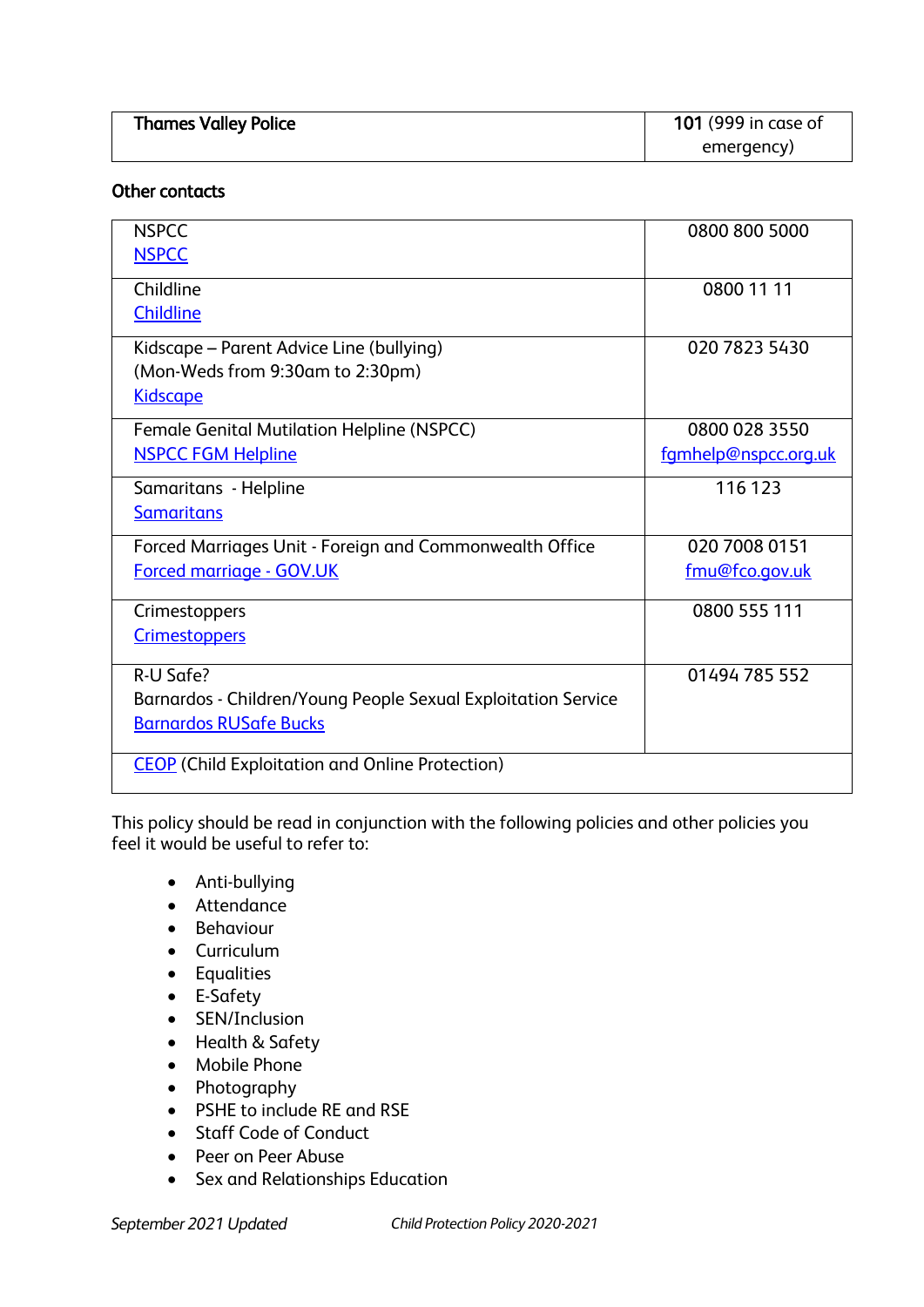| <b>Thames Valley Police</b> | <b>101</b> (999 in case of |
|-----------------------------|----------------------------|
|                             | emergency)                 |

#### Other contacts

| <b>NSPCC</b>                                                  | 0800 800 5000        |
|---------------------------------------------------------------|----------------------|
| <b>NSPCC</b>                                                  |                      |
| Childline                                                     | 0800 11 11           |
| <b>Childline</b>                                              |                      |
| Kidscape - Parent Advice Line (bullying)                      | 020 7823 5430        |
| (Mon-Weds from 9:30am to 2:30pm)                              |                      |
| <b>Kidscape</b>                                               |                      |
| Female Genital Mutilation Helpline (NSPCC)                    | 0800 028 3550        |
| <b>NSPCC FGM Helpline</b>                                     | fgmhelp@nspcc.org.uk |
| Samaritans - Helpline                                         | 116 123              |
| <b>Samaritans</b>                                             |                      |
| Forced Marriages Unit - Foreign and Commonwealth Office       | 020 7008 0151        |
| <b>Forced marriage - GOV.UK</b>                               | fmu@fco.gov.uk       |
| Crimestoppers                                                 | 0800 555 111         |
| <b>Crimestoppers</b>                                          |                      |
| R-U Safe?                                                     | 01494 785 552        |
| Barnardos - Children/Young People Sexual Exploitation Service |                      |
| <b>Barnardos RUSafe Bucks</b>                                 |                      |
| <b>CEOP</b> (Child Exploitation and Online Protection)        |                      |

This policy should be read in conjunction with the following policies and other policies you feel it would be useful to refer to:

- Anti-bullying
- Attendance
- Behaviour
- Curriculum
- Equalities
- E-Safety
- SEN/Inclusion
- Health & Safety
- Mobile Phone
- Photography
- PSHE to include RE and RSE
- Staff Code of Conduct
- Peer on Peer Abuse
- Sex and Relationships Education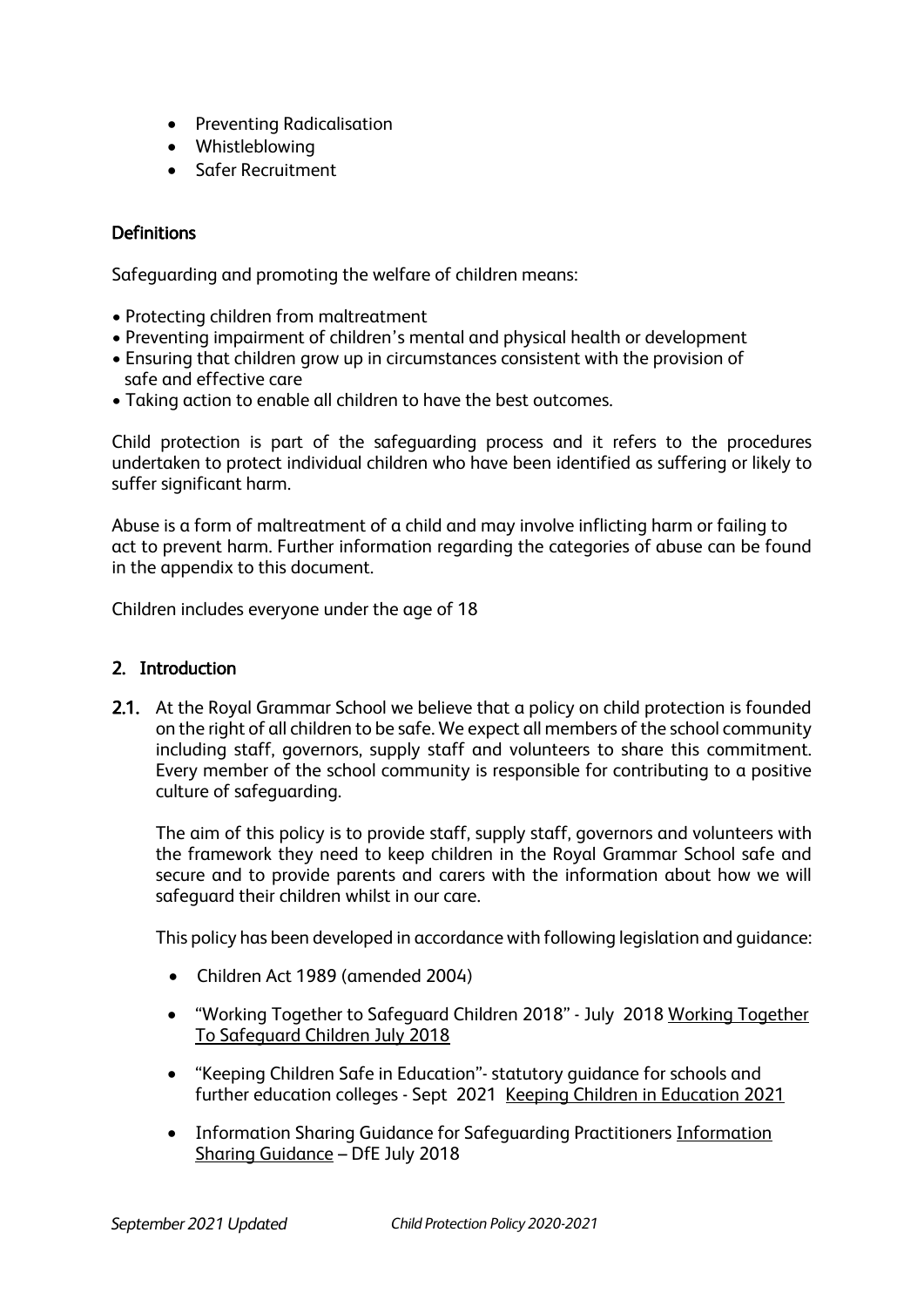- Preventing Radicalisation
- Whistleblowing
- Safer Recruitment

# **Definitions**

Safeguarding and promoting the welfare of children means:

- Protecting children from maltreatment
- Preventing impairment of children's mental and physical health or development
- Ensuring that children grow up in circumstances consistent with the provision of safe and effective care
- Taking action to enable all children to have the best outcomes.

Child protection is part of the safeguarding process and it refers to the procedures undertaken to protect individual children who have been identified as suffering or likely to suffer significant harm.

Abuse is a form of maltreatment of a child and may involve inflicting harm or failing to act to prevent harm. Further information regarding the categories of abuse can be found in the appendix to this document.

Children includes everyone under the age of 18

#### 2. Introduction

2.1. At the Royal Grammar School we believe that a policy on child protection is founded on the right of all children to be safe. We expect all members of the school community including staff, governors, supply staff and volunteers to share this commitment. Every member of the school community is responsible for contributing to a positive culture of safeguarding.

The aim of this policy is to provide staff, supply staff, governors and volunteers with the framework they need to keep children in the Royal Grammar School safe and secure and to provide parents and carers with the information about how we will safeguard their children whilst in our care.

This policy has been developed in accordance with following legislation and guidance:

- Children Act 1989 (amended 2004)
- "Working Together to Safeguard Children 2018" July 2018 Working [Together](https://www.gov.uk/government/publications/working-together-to-safeguard-children--2)  [To Safeguard Children July 2018](https://www.gov.uk/government/publications/working-together-to-safeguard-children--2)
- "Keeping Children Safe in Education"- statutory guidance for schools and further education colleges - Sept 2021 [Keeping Children in Education 2021](https://assets.publishing.service.gov.uk/government/uploads/system/uploads/attachment_data/file/999348/Keeping_children_safe_in_education_2021.pdf)
- Information Sharing Guidance for Safeguarding Practitioners [Information](https://www.gov.uk/government/publications/safeguarding-practitioners-information-sharing-advice)  [Sharing Guidance](https://www.gov.uk/government/publications/safeguarding-practitioners-information-sharing-advice) – DfE July 2018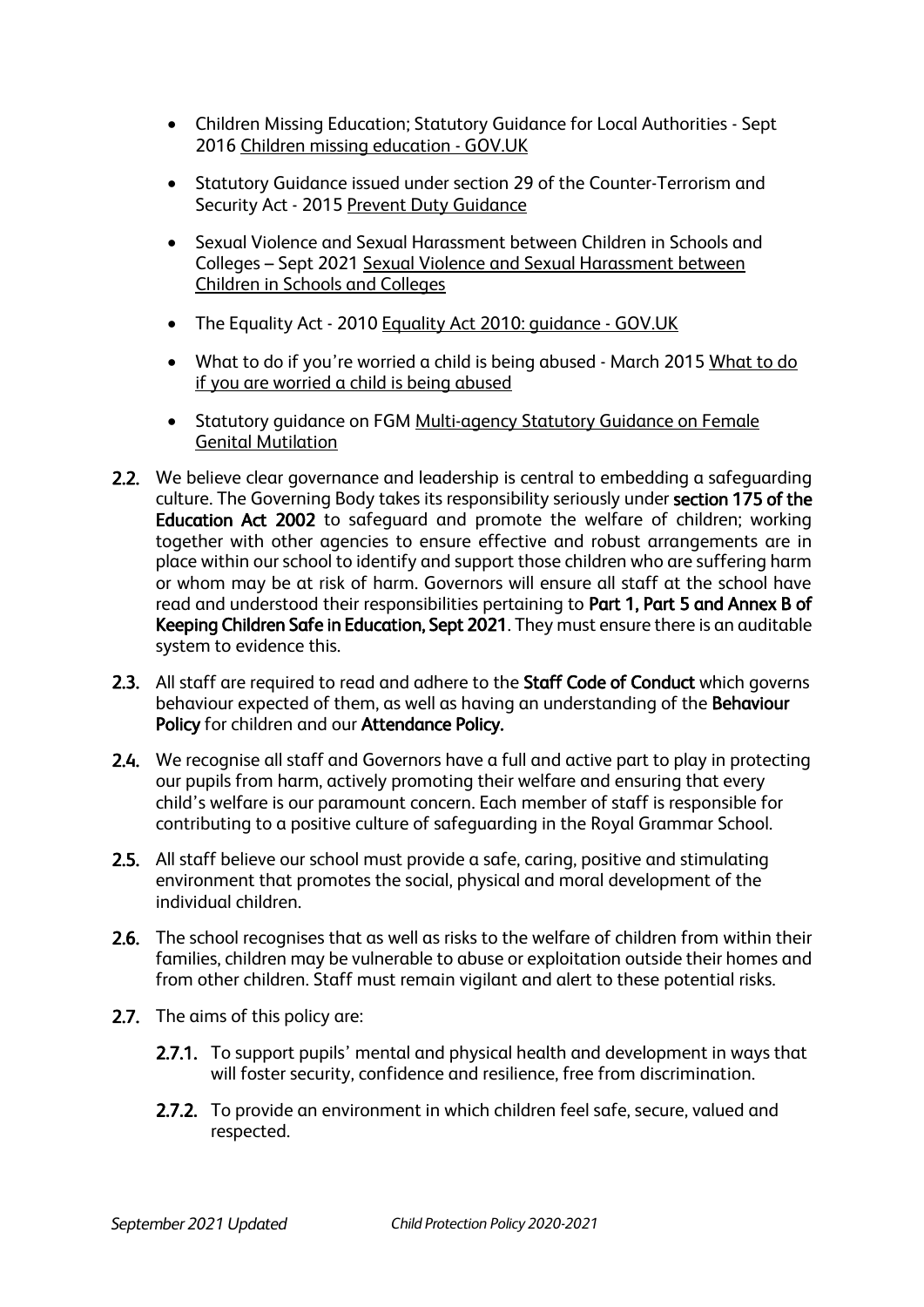- Children Missing Education; Statutory Guidance for Local Authorities Sept 2016 [Children missing education -](https://www.gov.uk/government/publications/children-missing-education) GOV.UK
- Statutory Guidance issued under section 29 of the Counter-Terrorism and Security Act - 2015 [Prevent Duty Guidance](https://www.gov.uk/government/publications/prevent-duty-guidance)
- Sexual Violence and Sexual Harassment between Children in Schools and Colleges – Sept 2021 [Sexual Violence and Sexual Harassment between](https://assets.publishing.service.gov.uk/government/uploads/system/uploads/attachment_data/file/999239/SVSH_2021.pdf)  [Children in Schools and Colleges](https://assets.publishing.service.gov.uk/government/uploads/system/uploads/attachment_data/file/999239/SVSH_2021.pdf)
- The Equality Act 2010 Equality Act 2010: quidance GOV.UK
- • [What to do](https://assets.publishing.service.gov.uk/government/uploads/system/uploads/attachment_data/file/419604/What_to_do_if_you_re_worried_a_child_is_being_abused.pdf) if you're worried a child is being abused March 2015 What to do [if you are worried a child is being abused](https://assets.publishing.service.gov.uk/government/uploads/system/uploads/attachment_data/file/419604/What_to_do_if_you_re_worried_a_child_is_being_abused.pdf)
- Statutory quidance on FGM Multi-agency Statutory Guidance on Female [Genital Mutilation](https://assets.publishing.service.gov.uk/government/uploads/system/uploads/attachment_data/file/912996/6-1914-HO-Multi_Agency_Statutory_Guidance_on_FGM__-_MASTER_V7_-_FINAL__July_2020.pdf)
- 2.2. We believe clear governance and leadership is central to embedding a safeguarding culture. The Governing Body takes its responsibility seriously under section 175 of the Education Act 2002 to safeguard and promote the welfare of children; working together with other agencies to ensure effective and robust arrangements are in place within our school to identify and support those children who are suffering harm or whom may be at risk of harm. Governors will ensure all staff at the school have read and understood their responsibilities pertaining to Part 1, Part 5 and Annex B of Keeping Children Safe in Education, Sept 2021. They must ensure there is an auditable system to evidence this.
- 2.3. All staff are required to read and adhere to the Staff Code of Conduct which governs behaviour expected of them, as well as having an understanding of the Behaviour Policy for children and our Attendance Policy.
- 2.4. We recognise all staff and Governors have a full and active part to play in protecting our pupils from harm, actively promoting their welfare and ensuring that every child's welfare is our paramount concern. Each member of staff is responsible for contributing to a positive culture of safeguarding in the Royal Grammar School.
- 2.5. All staff believe our school must provide a safe, caring, positive and stimulating environment that promotes the social, physical and moral development of the individual children.
- 2.6. The school recognises that as well as risks to the welfare of children from within their families, children may be vulnerable to abuse or exploitation outside their homes and from other children. Staff must remain vigilant and alert to these potential risks.
- 2.7. The aims of this policy are:
	- 2.7.1. To support pupils' mental and physical health and development in ways that will foster security, confidence and resilience, free from discrimination.
	- 2.7.2. To provide an environment in which children feel safe, secure, valued and respected.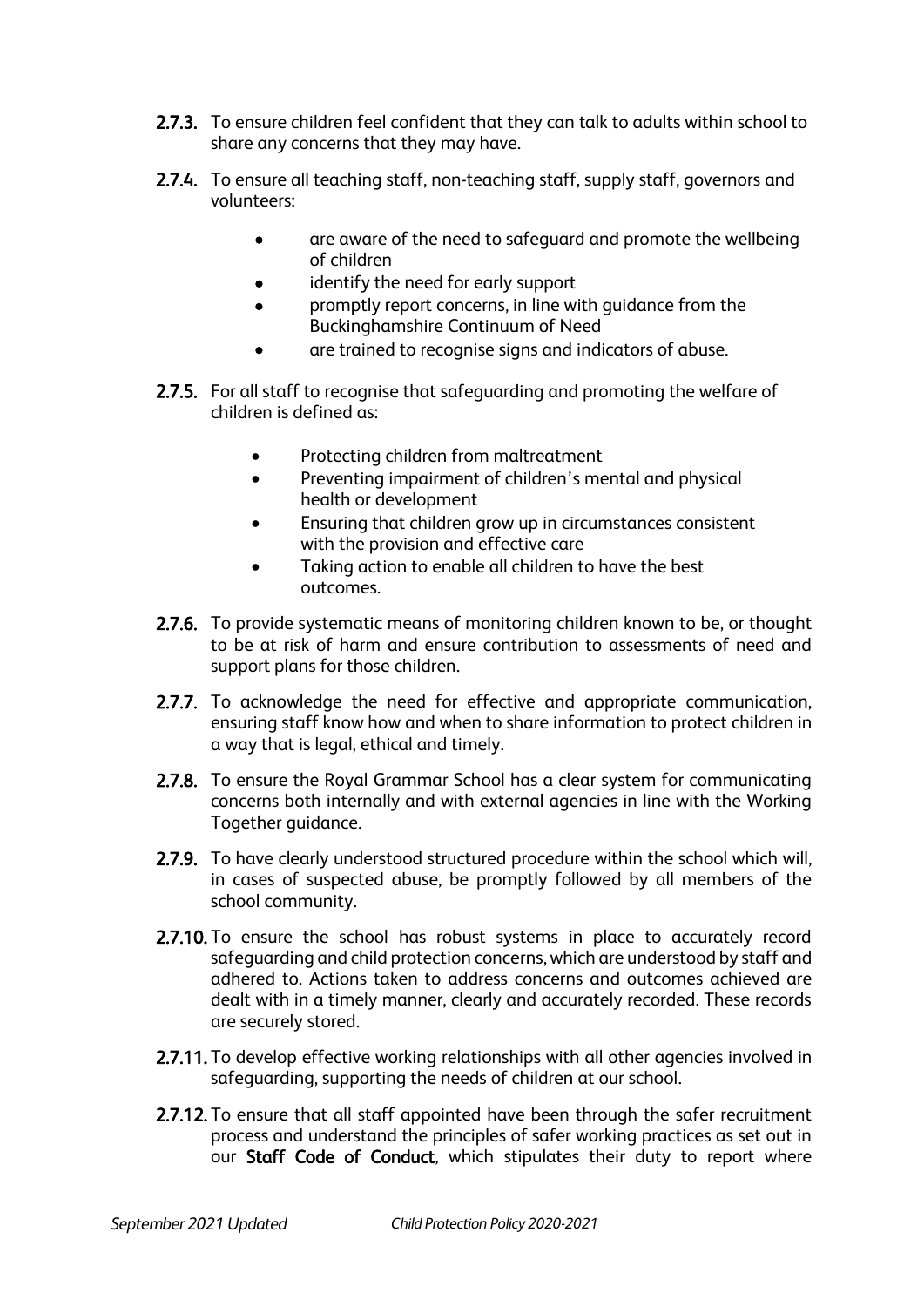- 2.7.3. To ensure children feel confident that they can talk to adults within school to share any concerns that they may have.
- 2.7.4. To ensure all teaching staff, non-teaching staff, supply staff, governors and volunteers:
	- are aware of the need to safeguard and promote the wellbeing of children
	- identify the need for early support
	- promptly report concerns, in line with guidance from the Buckinghamshire Continuum of Need
	- are trained to recognise signs and indicators of abuse.
- 2.7.5. For all staff to recognise that safeguarding and promoting the welfare of children is defined as:
	- Protecting children from maltreatment
	- Preventing impairment of children's mental and physical health or development
	- Ensuring that children grow up in circumstances consistent with the provision and effective care
	- Taking action to enable all children to have the best outcomes.
- 2.7.6. To provide systematic means of monitoring children known to be, or thought to be at risk of harm and ensure contribution to assessments of need and support plans for those children.
- 2.7.7. To acknowledge the need for effective and appropriate communication, ensuring staff know how and when to share information to protect children in a way that is legal, ethical and timely.
- 2.7.8. To ensure the Royal Grammar School has a clear system for communicating concerns both internally and with external agencies in line with the Working Together guidance.
- 2.7.9. To have clearly understood structured procedure within the school which will. in cases of suspected abuse, be promptly followed by all members of the school community.
- 2.7.10. To ensure the school has robust systems in place to accurately record safeguarding and child protection concerns, which are understood by staff and adhered to. Actions taken to address concerns and outcomes achieved are dealt with in a timely manner, clearly and accurately recorded. These records are securely stored.
- 2.7.11. To develop effective working relationships with all other agencies involved in safeguarding, supporting the needs of children at our school.
- 2.7.12. To ensure that all staff appointed have been through the safer recruitment process and understand the principles of safer working practices as set out in our Staff Code of Conduct, which stipulates their duty to report where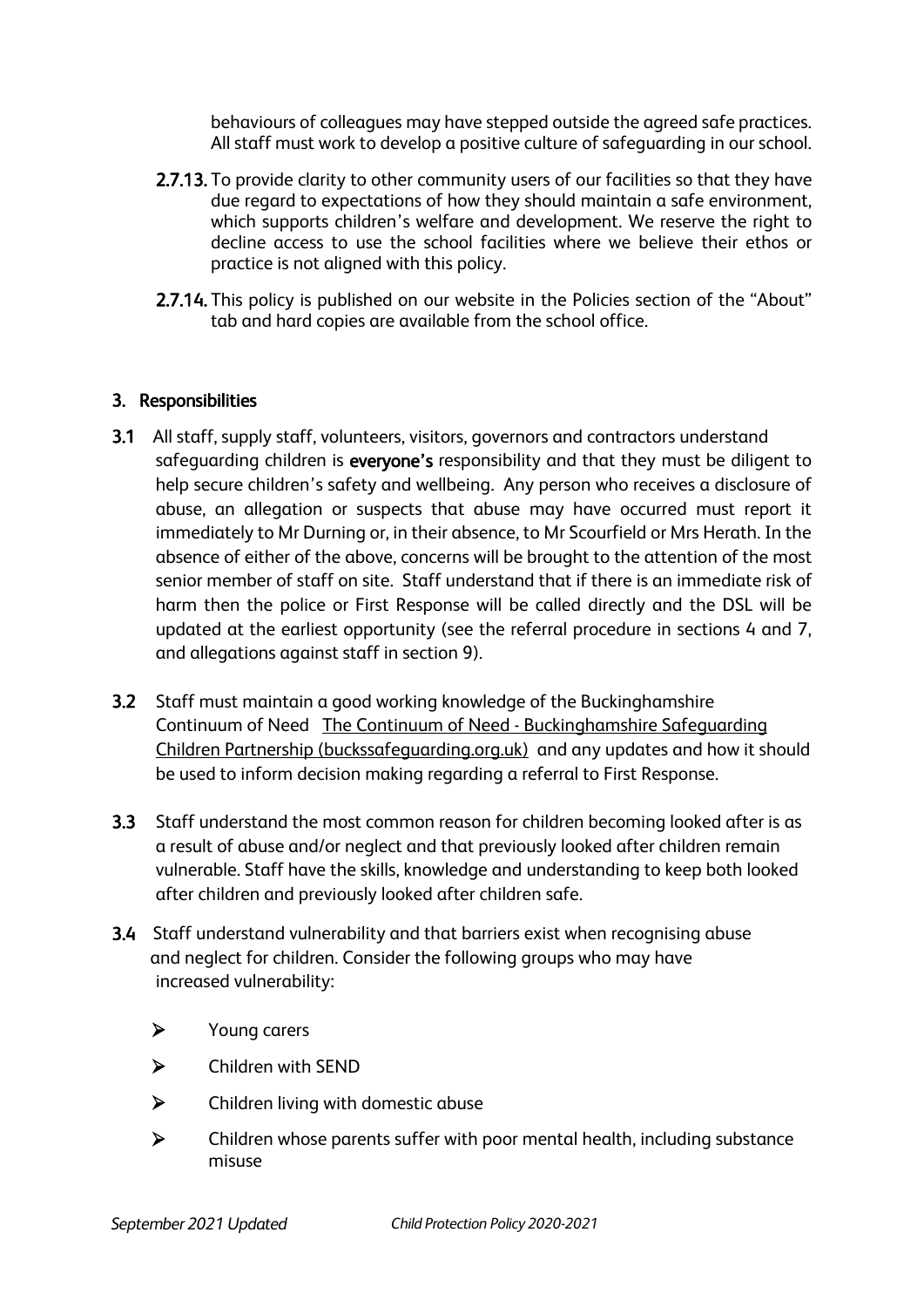behaviours of colleagues may have stepped outside the agreed safe practices. All staff must work to develop a positive culture of safeguarding in our school.

- 2.7.13. To provide clarity to other community users of our facilities so that they have due regard to expectations of how they should maintain a safe environment, which supports children's welfare and development. We reserve the right to decline access to use the school facilities where we believe their ethos or practice is not aligned with this policy.
- 2.7.14. This policy is published on our website in the Policies section of the "About" tab and hard copies are available from the school office.

## 3. Responsibilities

- 3.1 All staff, supply staff, volunteers, visitors, governors and contractors understand safequarding children is everyone's responsibility and that they must be diligent to help secure children's safety and wellbeing. Any person who receives a disclosure of abuse, an allegation or suspects that abuse may have occurred must report it immediately to Mr Durning or, in their absence, to Mr Scourfield or Mrs Herath. In the absence of either of the above, concerns will be brought to the attention of the most senior member of staff on site. Staff understand that if there is an immediate risk of harm then the police or First Response will be called directly and the DSL will be updated at the earliest opportunity (see the referral procedure in sections 4 and 7, and allegations against staff in section 9).
- 3.2 Staff must maintain a good working knowledge of the Buckinghamshire Continuum of Need The Continuum of Need - [Buckinghamshire Safeguarding](https://www.buckssafeguarding.org.uk/childrenpartnership/professionals/continuum-of-need/)  [Children Partnership \(buckssafeguarding.org.uk\)](https://www.buckssafeguarding.org.uk/childrenpartnership/professionals/continuum-of-need/) and any updates and how it should be used to inform decision making regarding a referral to First Response.
- 3.3 Staff understand the most common reason for children becoming looked after is as a result of abuse and/or neglect and that previously looked after children remain vulnerable. Staff have the skills, knowledge and understanding to keep both looked after children and previously looked after children safe.
- 3.4 Staff understand vulnerability and that barriers exist when recognising abuse and neglect for children. Consider the following groups who may have increased vulnerability:
	- ➢ Young carers
	- ➢ Children with SEND
	- ➢ Children living with domestic abuse
	- ➢ Children whose parents suffer with poor mental health, including substance misuse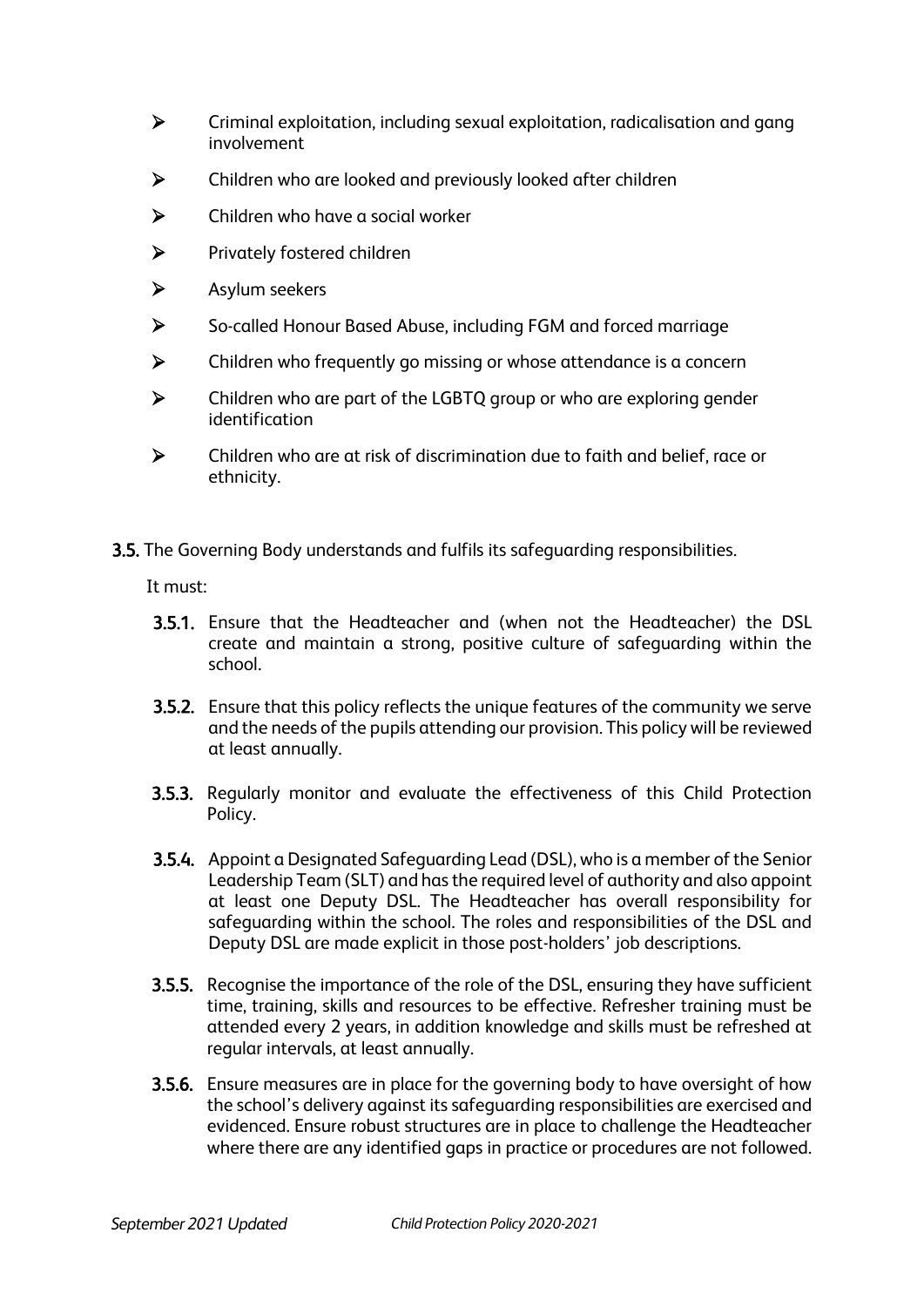- ➢ Criminal exploitation, including sexual exploitation, radicalisation and gang involvement
- ➢ Children who are looked and previously looked after children
- ➢ Children who have a social worker
- ➢ Privately fostered children
- ➢ Asylum seekers
- ➢ So-called Honour Based Abuse, including FGM and forced marriage
- ➢ Children who frequently go missing or whose attendance is a concern
- ➢ Children who are part of the LGBTQ group or who are exploring gender identification
- ➢ Children who are at risk of discrimination due to faith and belief, race or ethnicity.
- 3.5. The Governing Body understands and fulfils its safeguarding responsibilities.

It must:

- 3.5.1. Ensure that the Headteacher and (when not the Headteacher) the DSL create and maintain a strong, positive culture of safeguarding within the school.
- 3.5.2. Ensure that this policy reflects the unique features of the community we serve and the needs of the pupils attending our provision. This policy will be reviewed at least annually.
- 3.5.3. Regularly monitor and evaluate the effectiveness of this Child Protection Policy.
- 3.5.4. Appoint a Designated Safeguarding Lead (DSL), who is a member of the Senior Leadership Team (SLT) and has the required level of authority and also appoint at least one Deputy DSL. The Headteacher has overall responsibility for safeguarding within the school. The roles and responsibilities of the DSL and Deputy DSL are made explicit in those post-holders' job descriptions.
- 3.5.5. Recognise the importance of the role of the DSL, ensuring they have sufficient time, training, skills and resources to be effective. Refresher training must be attended every 2 years, in addition knowledge and skills must be refreshed at regular intervals, at least annually.
- 3.5.6. Ensure measures are in place for the governing body to have oversight of how the school's delivery against its safeguarding responsibilities are exercised and evidenced. Ensure robust structures are in place to challenge the Headteacher where there are any identified gaps in practice or procedures are not followed.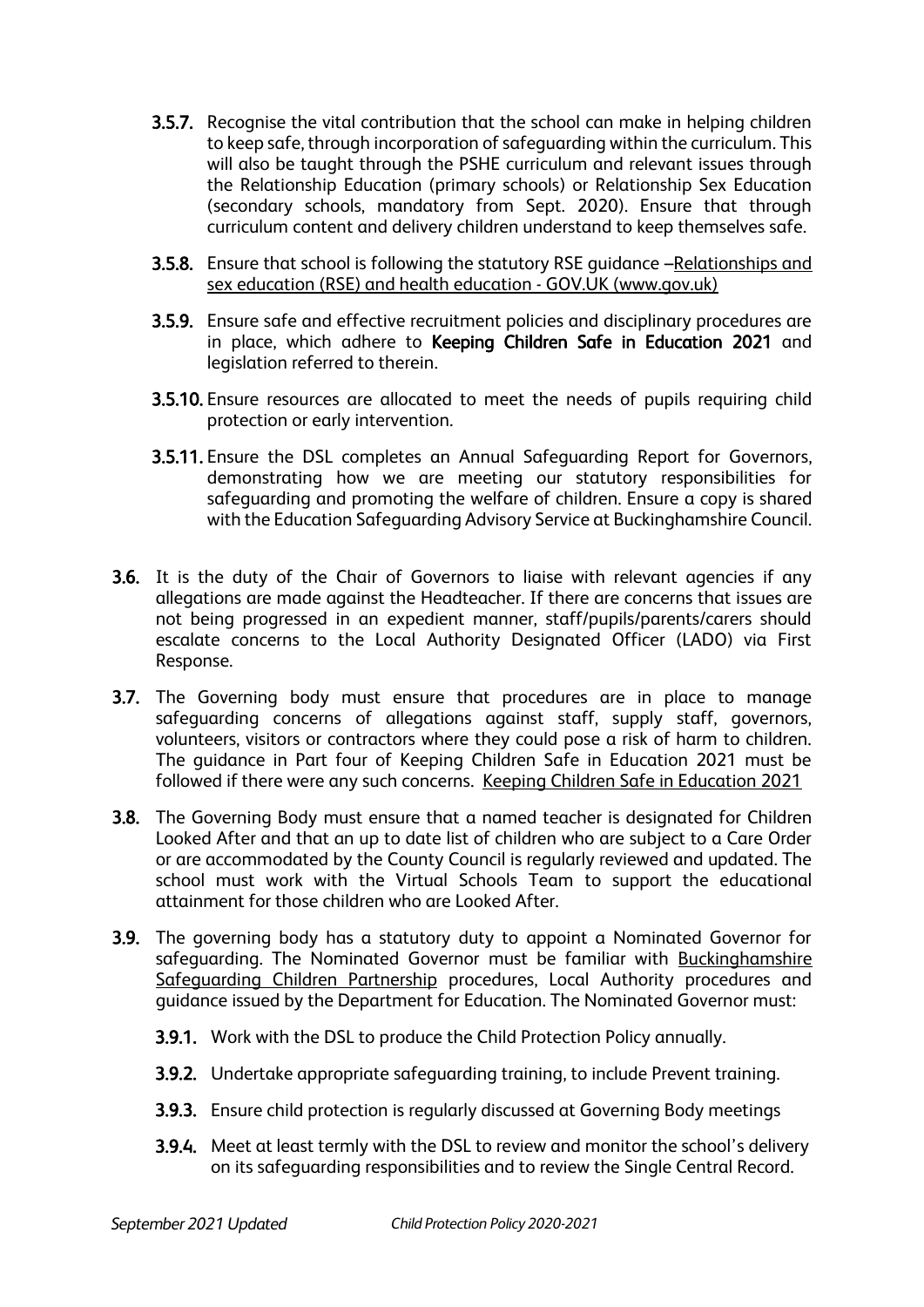- **3.5.7.** Recognise the vital contribution that the school can make in helping children to keep safe, through incorporation of safeguarding within the curriculum. This will also be taught through the PSHE curriculum and relevant issues through the Relationship Education (primary schools) or Relationship Sex Education (secondary schools, mandatory from Sept. 2020). Ensure that through curriculum content and delivery children understand to keep themselves safe.
- 3.5.8. Ensure that school is following the statutory RSE guidance –[Relationships and](https://www.gov.uk/government/publications/relationships-education-relationships-and-sex-education-rse-and-health-education)  [sex education \(RSE\) and health education -](https://www.gov.uk/government/publications/relationships-education-relationships-and-sex-education-rse-and-health-education) GOV.UK (www.gov.uk)
- 3.5.9. Ensure safe and effective recruitment policies and disciplinary procedures are in place, which adhere to Keeping Children Safe in Education 2021 and legislation referred to therein.
- 3.5.10. Ensure resources are allocated to meet the needs of pupils requiring child protection or early intervention.
- 3.5.11. Ensure the DSL completes an Annual Safeguarding Report for Governors, demonstrating how we are meeting our statutory responsibilities for safeguarding and promoting the welfare of children. Ensure a copy is shared with the Education Safeguarding Advisory Service at Buckinghamshire Council.
- 3.6. It is the duty of the Chair of Governors to liaise with relevant agencies if any allegations are made against the Headteacher. If there are concerns that issues are not being progressed in an expedient manner, staff/pupils/parents/carers should escalate concerns to the Local Authority Designated Officer (LADO) via First Response.
- 3.7. The Governing body must ensure that procedures are in place to manage safeguarding concerns of allegations against staff, supply staff, governors, volunteers, visitors or contractors where they could pose a risk of harm to children. The guidance in Part four of Keeping Children Safe in Education 2021 must be followed if there were any such concerns. [Keeping Children Safe in Education 2021](https://assets.publishing.service.gov.uk/government/uploads/system/uploads/attachment_data/file/999348/Keeping_children_safe_in_education_2021.pdf)
- 3.8. The Governing Body must ensure that a named teacher is designated for Children Looked After and that an up to date list of children who are subject to a Care Order or are accommodated by the County Council is regularly reviewed and updated. The school must work with the Virtual Schools Team to support the educational attainment for those children who are Looked After.
- 3.9. The governing body has a statutory duty to appoint a Nominated Governor for safeguarding. The Nominated Governor must be familiar with Buckinghamshire [Safeguarding Children Partnership](https://www.bucks-lscb.org.uk/) procedures, Local Authority procedures and guidance issued by the Department for Education. The Nominated Governor must:
	- 3.9.1. Work with the DSL to produce the Child Protection Policy annually.
	- 3.9.2. Undertake appropriate safeguarding training, to include Prevent training.
	- 3.9.3. Ensure child protection is regularly discussed at Governing Body meetings
	- 3.9.4. Meet at least termly with the DSL to review and monitor the school's delivery on its safeguarding responsibilities and to review the Single Central Record.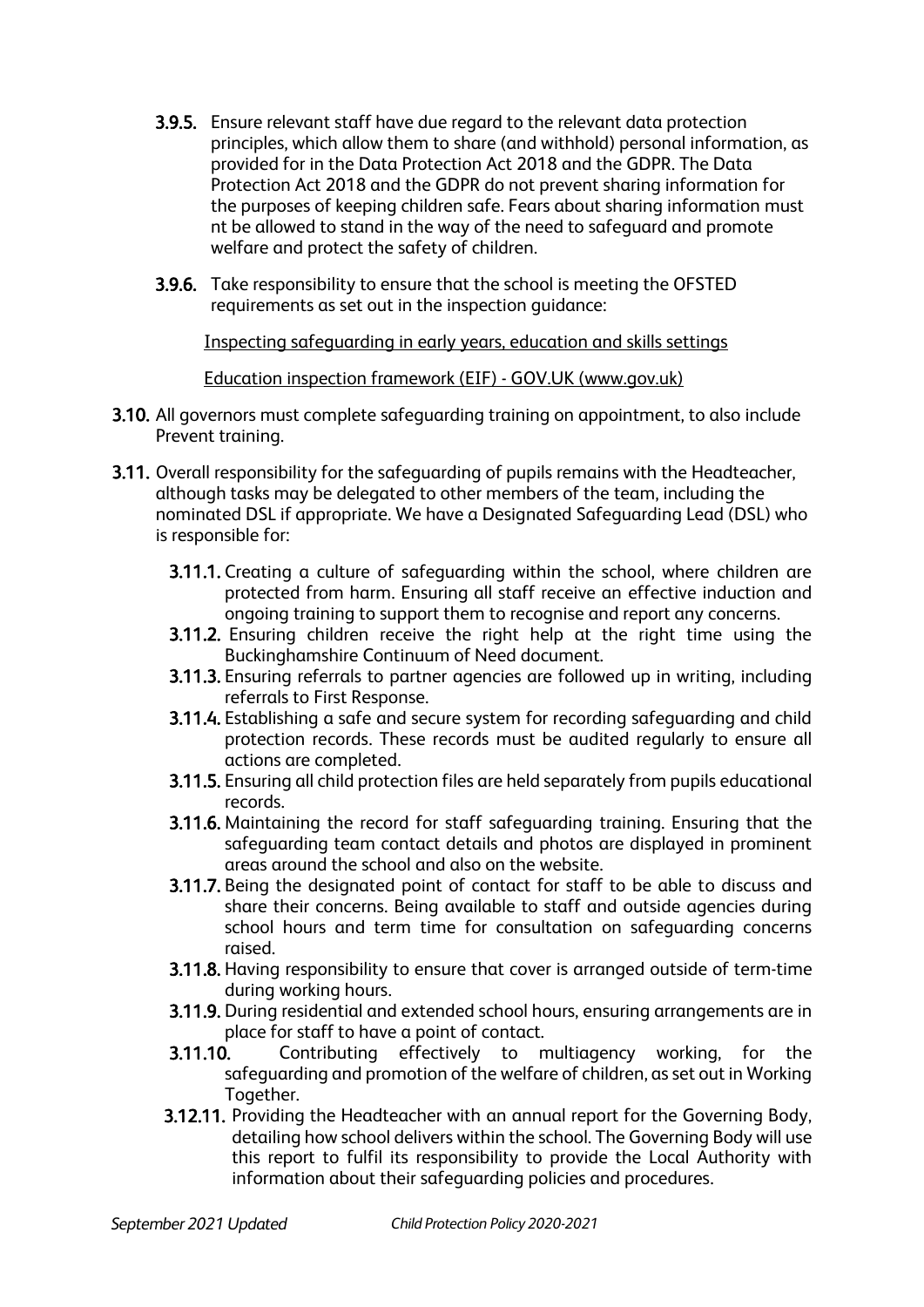- 3.9.5. Ensure relevant staff have due regard to the relevant data protection principles, which allow them to share (and withhold) personal information, as provided for in the Data Protection Act 2018 and the GDPR. The Data Protection Act 2018 and the GDPR do not prevent sharing information for the purposes of keeping children safe. Fears about sharing information must nt be allowed to stand in the way of the need to safeguard and promote welfare and protect the safety of children.
- **3.9.6.** Take responsibility to ensure that the school is meeting the OFSTED requirements as set out in the inspection guidance:

[Inspecting safeguarding in early years, education and skills settings](https://assets.publishing.service.gov.uk/government/uploads/system/uploads/attachment_data/file/828763/Inspecting_safeguarding_in_early_years__education_and_skills.pdf)

[Education inspection framework \(EIF\) -](https://www.gov.uk/government/publications/education-inspection-framework) GOV.UK (www.gov.uk)

- 3.10. All governors must complete safeguarding training on appointment, to also include Prevent training.
- 3.11. Overall responsibility for the safeguarding of pupils remains with the Headteacher, although tasks may be delegated to other members of the team, including the nominated DSL if appropriate. We have a Designated Safeguarding Lead (DSL) who is responsible for:
	- 3.11.1. Creating a culture of safeguarding within the school, where children are protected from harm. Ensuring all staff receive an effective induction and ongoing training to support them to recognise and report any concerns.
	- 3.11.2. Ensuring children receive the right help at the right time using the Buckinghamshire Continuum of Need document.
	- 3.11.3. Ensuring referrals to partner agencies are followed up in writing, including referrals to First Response.
	- 3.11.4. Establishing a safe and secure system for recording safeguarding and child protection records. These records must be audited regularly to ensure all actions are completed.
	- 3.11.5. Ensuring all child protection files are held separately from pupils educational records.
	- 3.11.6. Maintaining the record for staff safeguarding training. Ensuring that the safeguarding team contact details and photos are displayed in prominent areas around the school and also on the website.
	- 3.11.7. Being the designated point of contact for staff to be able to discuss and share their concerns. Being available to staff and outside agencies during school hours and term time for consultation on safeguarding concerns raised.
	- 3.11.8. Having responsibility to ensure that cover is arranged outside of term-time during working hours.
	- 3.11.9. During residential and extended school hours, ensuring arrangements are in place for staff to have a point of contact.
	- 3.11.10. Contributing effectively to multiagency working, for the safeguarding and promotion of the welfare of children, as set out in Working Together.
	- 3.12.11. Providing the Headteacher with an annual report for the Governing Body, detailing how school delivers within the school. The Governing Body will use this report to fulfil its responsibility to provide the Local Authority with information about their safeguarding policies and procedures.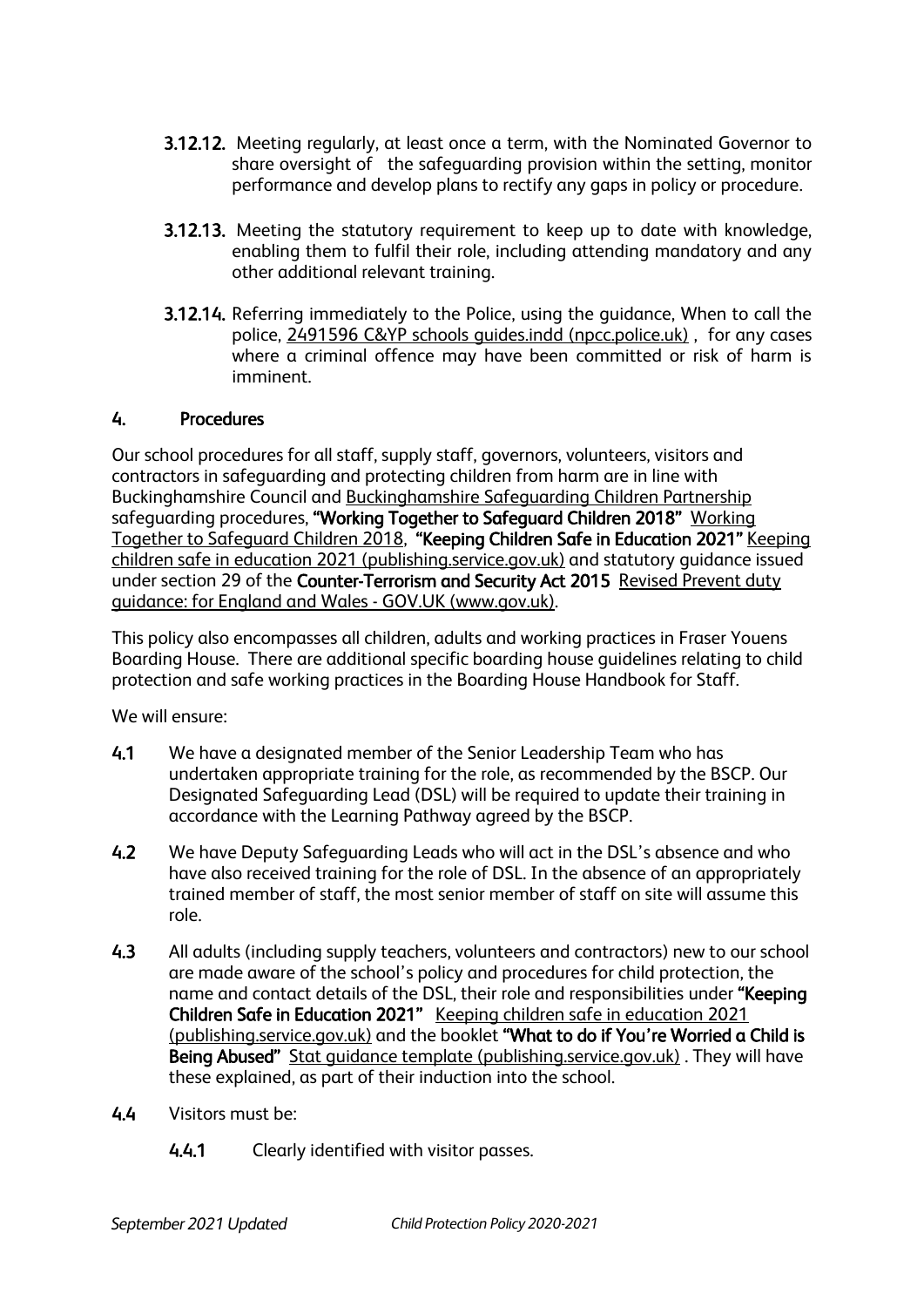- 3.12.12. Meeting regularly, at least once a term, with the Nominated Governor to share oversight of the safeguarding provision within the setting, monitor performance and develop plans to rectify any gaps in policy or procedure.
- 3.12.13. Meeting the statutory requirement to keep up to date with knowledge, enabling them to fulfil their role, including attending mandatory and any other additional relevant training.
- 3.12.14. Referring immediately to the Police, using the guidance, When to call the police, [2491596 C&YP schools guides.indd \(npcc.police.uk\)](https://www.npcc.police.uk/documents/Children%20and%20Young%20people/When%20to%20call%20the%20police%20guidance%20for%20schools%20and%20colleges.pdf) , for any cases where a criminal offence may have been committed or risk of harm is imminent.

#### 4. Procedures

Our school procedures for all staff, supply staff, governors, volunteers, visitors and contractors in safeguarding and protecting children from harm are in line with Buckinghamshire Council and [Buckinghamshire Safeguarding Children Partnership](https://www.bucks-lscb.org.uk/) safeguarding procedures, "[Working](https://assets.publishing.service.gov.uk/government/uploads/system/uploads/attachment_data/file/942454/Working_together_to_safeguard_children_inter_agency_guidance.pdf) Together to Safeguard Children 2018" Working [Together to Safeguard Children 2018,](https://assets.publishing.service.gov.uk/government/uploads/system/uploads/attachment_data/file/942454/Working_together_to_safeguard_children_inter_agency_guidance.pdf) "Keeping Children Safe in Education 2021" [Keeping](https://assets.publishing.service.gov.uk/government/uploads/system/uploads/attachment_data/file/999348/Keeping_children_safe_in_education_2021.pdf)  [children safe in education 2021 \(publishing.service.gov.uk\)](https://assets.publishing.service.gov.uk/government/uploads/system/uploads/attachment_data/file/999348/Keeping_children_safe_in_education_2021.pdf) and statutory guidance issued under section 29 of the Counter-Terrorism and Security Act 2015 [Revised Prevent duty](https://www.gov.uk/government/publications/prevent-duty-guidance/revised-prevent-duty-guidance-for-england-and-wales)  [guidance: for England and Wales -](https://www.gov.uk/government/publications/prevent-duty-guidance/revised-prevent-duty-guidance-for-england-and-wales) GOV.UK (www.gov.uk).

This policy also encompasses all children, adults and working practices in Fraser Youens Boarding House. There are additional specific boarding house guidelines relating to child protection and safe working practices in the Boarding House Handbook for Staff.

We will ensure:

- 4.1 We have a designated member of the Senior Leadership Team who has undertaken appropriate training for the role, as recommended by the BSCP. Our Designated Safeguarding Lead (DSL) will be required to update their training in accordance with the Learning Pathway agreed by the BSCP.
- 4.2 We have Deputy Safeguarding Leads who will act in the DSL's absence and who have also received training for the role of DSL. In the absence of an appropriately trained member of staff, the most senior member of staff on site will assume this role.
- 4.3 All adults (including supply teachers, volunteers and contractors) new to our school are made aware of the school's policy and procedures for child protection, the name and contact details of the DSL, their role and responsibilities under "Keeping Children Safe in Education 2021" [Keeping children safe in education 2021](https://assets.publishing.service.gov.uk/government/uploads/system/uploads/attachment_data/file/999348/Keeping_children_safe_in_education_2021.pdf)  [\(publishing.service.gov.uk\)](https://assets.publishing.service.gov.uk/government/uploads/system/uploads/attachment_data/file/999348/Keeping_children_safe_in_education_2021.pdf) and the booklet "What to do if You're Worried a Child is Being Abused" Stat guidance template (publishing.service.gov.uk). They will have these explained, as part of their induction into the school.
- 4.4 Visitors must be:
	- 4.4.1 Clearly identified with visitor passes.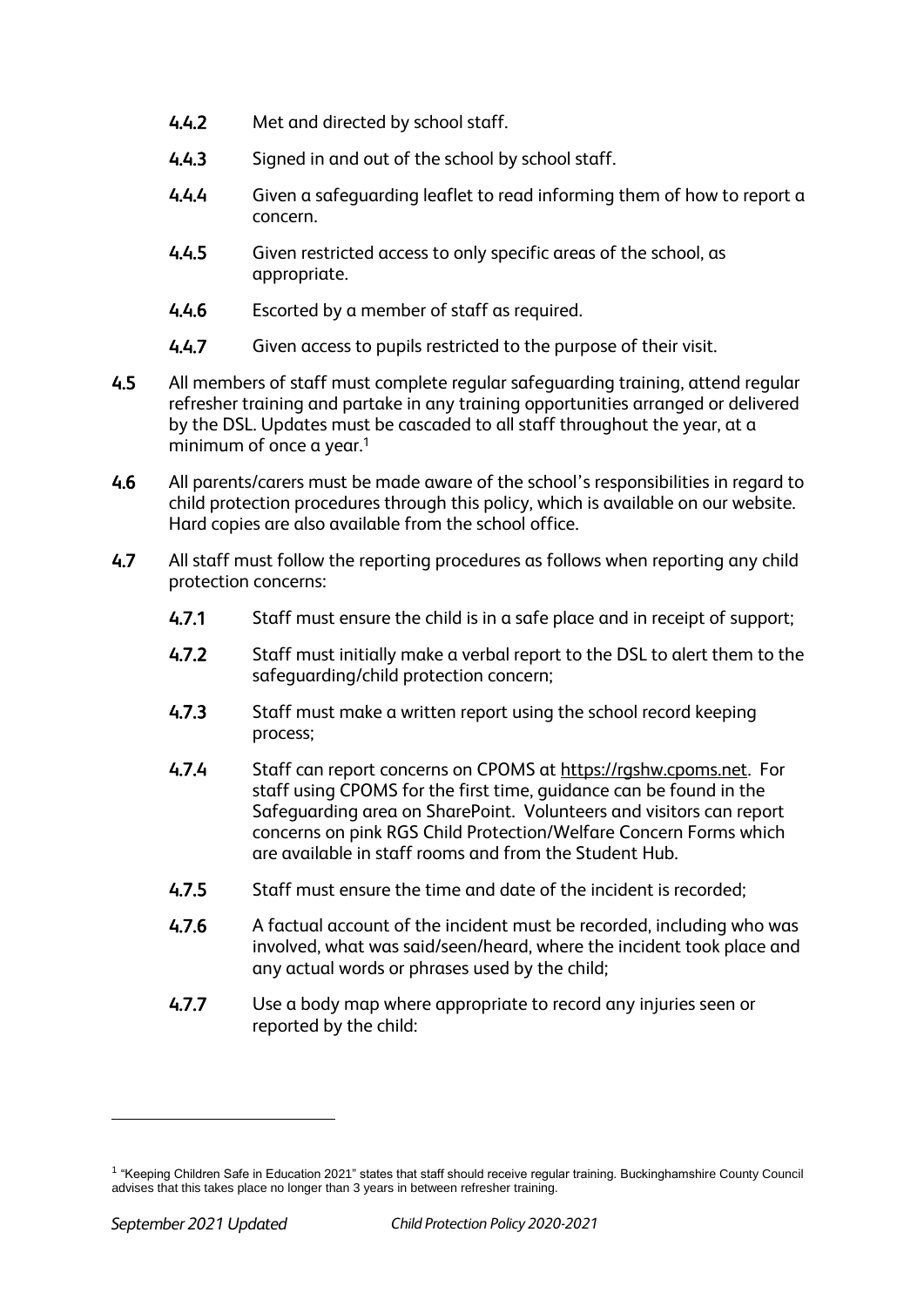- 4.4.2 Met and directed by school staff.
- 4.4.3 Signed in and out of the school by school staff.
- 4.4.4 Given a safeguarding leaflet to read informing them of how to report a concern.
- 4.4.5 Given restricted access to only specific areas of the school, as appropriate.
- 4.4.6 Escorted by a member of staff as required.
- 4.4.7 Given access to pupils restricted to the purpose of their visit.
- 4.5 All members of staff must complete regular safeguarding training, attend regular refresher training and partake in any training opportunities arranged or delivered by the DSL. Updates must be cascaded to all staff throughout the year, at a minimum of once a year.<sup>1</sup>
- 4.6 All parents/carers must be made aware of the school's responsibilities in regard to child protection procedures through this policy, which is available on our website. Hard copies are also available from the school office.
- 4.7 All staff must follow the reporting procedures as follows when reporting any child protection concerns:
	- 4.7.1 Staff must ensure the child is in a safe place and in receipt of support;
	- 4.7.2 Staff must initially make a verbal report to the DSL to alert them to the safeguarding/child protection concern;
	- 4.7.3 Staff must make a written report using the school record keeping process;
	- 4.7.4 Staff can report concerns on CPOMS at [https://rgshw.cpoms.net.](https://rgshw.cpoms.net/) For staff using CPOMS for the first time, guidance can be found in the Safeguarding area on SharePoint. Volunteers and visitors can report concerns on pink RGS Child Protection/Welfare Concern Forms which are available in staff rooms and from the Student Hub.
	- 4.7.5 Staff must ensure the time and date of the incident is recorded;
	- 4.7.6 A factual account of the incident must be recorded, including who was involved, what was said/seen/heard, where the incident took place and any actual words or phrases used by the child;
	- 4.7.7 Use a body map where appropriate to record any injuries seen or reported by the child:

-

<sup>1</sup> "Keeping Children Safe in Education 2021" states that staff should receive regular training. Buckinghamshire County Council advises that this takes place no longer than 3 years in between refresher training.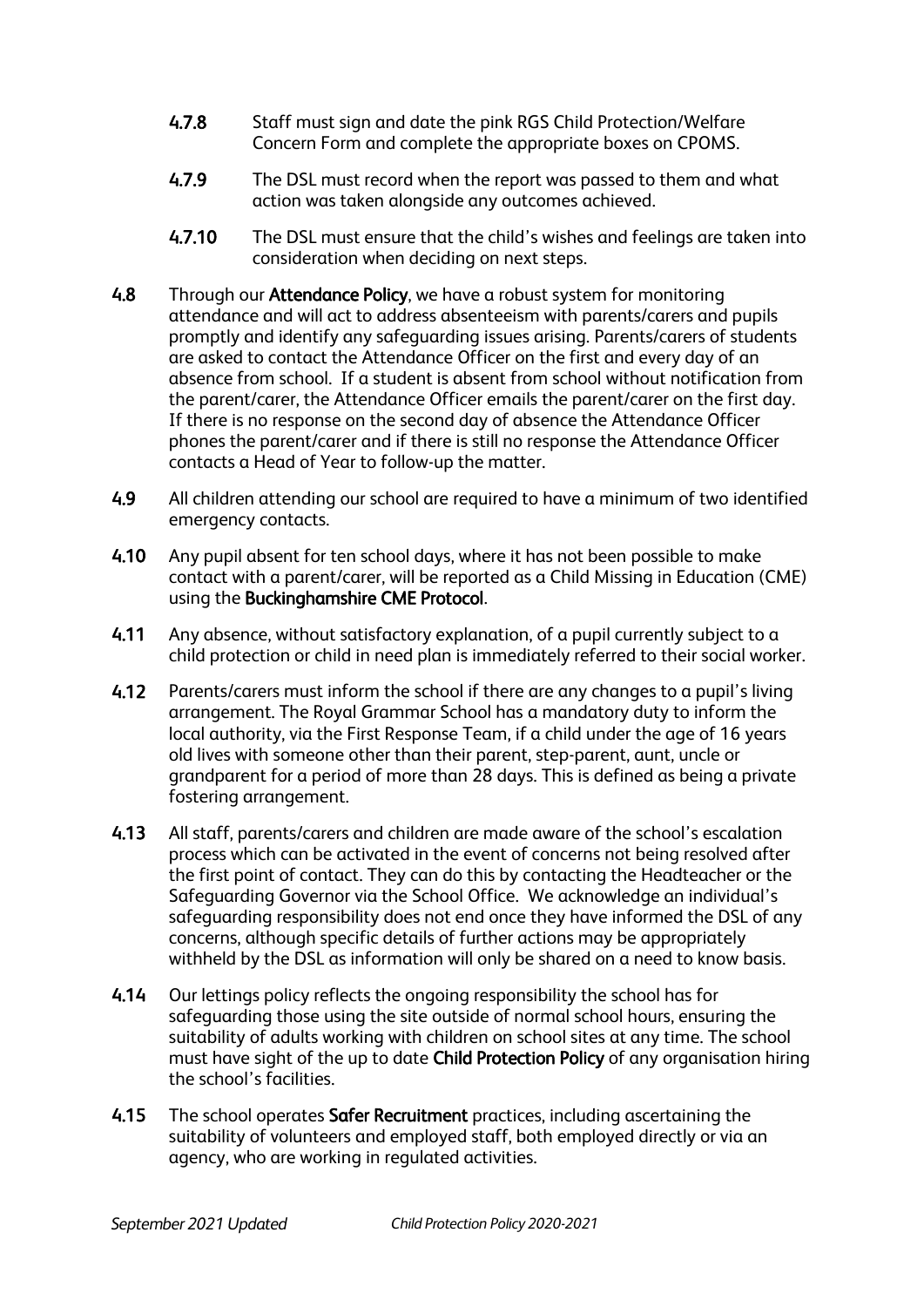- 4.7.8 Staff must sign and date the pink RGS Child Protection/Welfare Concern Form and complete the appropriate boxes on CPOMS.
- 4.7.9 The DSL must record when the report was passed to them and what action was taken alongside any outcomes achieved.
- 4.7.10 The DSL must ensure that the child's wishes and feelings are taken into consideration when deciding on next steps.
- 4.8 Through our Attendance Policy, we have a robust system for monitoring attendance and will act to address absenteeism with parents/carers and pupils promptly and identify any safeguarding issues arising. Parents/carers of students are asked to contact the Attendance Officer on the first and every day of an absence from school. If a student is absent from school without notification from the parent/carer, the Attendance Officer emails the parent/carer on the first day. If there is no response on the second day of absence the Attendance Officer phones the parent/carer and if there is still no response the Attendance Officer contacts a Head of Year to follow-up the matter.
- 4.9 All children attending our school are required to have a minimum of two identified emergency contacts.
- 4.10 Any pupil absent for ten school days, where it has not been possible to make contact with a parent/carer, will be reported as a Child Missing in Education (CME) using the Buckinghamshire CME Protocol.
- 4.11 Any absence, without satisfactory explanation, of a pupil currently subject to a child protection or child in need plan is immediately referred to their social worker.
- 4.12 Parents/carers must inform the school if there are any changes to a pupil's living arrangement. The Royal Grammar School has a mandatory duty to inform the local authority, via the First Response Team, if a child under the age of 16 years old lives with someone other than their parent, step-parent, aunt, uncle or grandparent for a period of more than 28 days. This is defined as being a private fostering arrangement.
- 4.13 All staff, parents/carers and children are made aware of the school's escalation process which can be activated in the event of concerns not being resolved after the first point of contact. They can do this by contacting the Headteacher or the Safeguarding Governor via the School Office. We acknowledge an individual's safeguarding responsibility does not end once they have informed the DSL of any concerns, although specific details of further actions may be appropriately withheld by the DSL as information will only be shared on a need to know basis.
- 4.14 Our lettings policy reflects the ongoing responsibility the school has for safeguarding those using the site outside of normal school hours, ensuring the suitability of adults working with children on school sites at any time. The school must have sight of the up to date Child Protection Policy of any organisation hiring the school's facilities.
- 4.15 The school operates Safer Recruitment practices, including ascertaining the suitability of volunteers and employed staff, both employed directly or via an agency, who are working in regulated activities.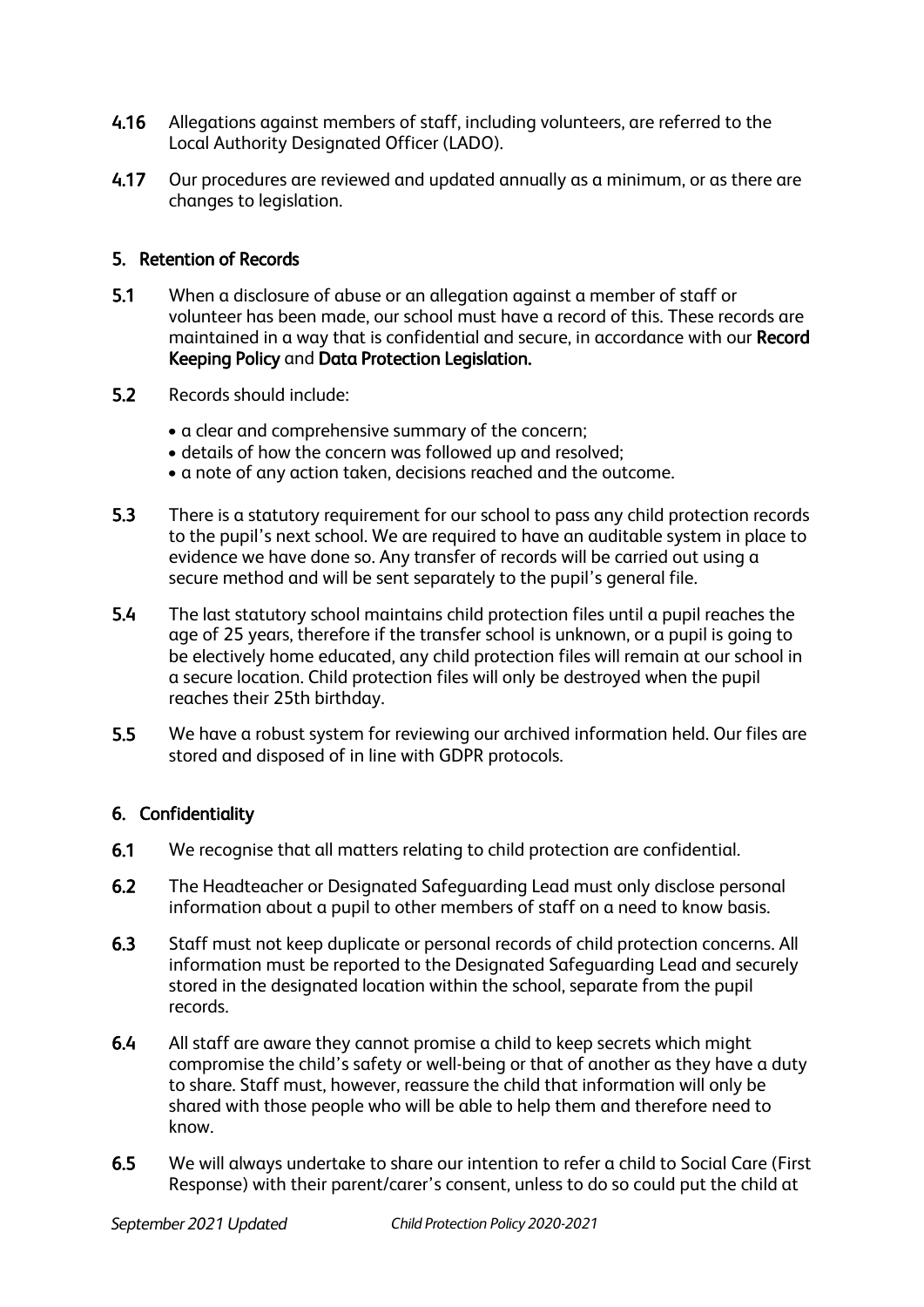- 4.16 Allegations against members of staff, including volunteers, are referred to the Local Authority Designated Officer (LADO).
- 4.17 Our procedures are reviewed and updated annually as a minimum, or as there are changes to legislation.

# 5. Retention of Records

- 5.1 When a disclosure of abuse or an allegation against a member of staff or volunteer has been made, our school must have a record of this. These records are maintained in a way that is confidential and secure, in accordance with our Record Keeping Policy and Data Protection Legislation.
- 5.2 Records should include:
	- a clear and comprehensive summary of the concern;
	- details of how the concern was followed up and resolved;
	- a note of any action taken, decisions reached and the outcome.
- 5.3 There is a statutory requirement for our school to pass any child protection records to the pupil's next school. We are required to have an auditable system in place to evidence we have done so. Any transfer of records will be carried out using a secure method and will be sent separately to the pupil's general file.
- 5.4 The last statutory school maintains child protection files until a pupil reaches the age of 25 years, therefore if the transfer school is unknown, or a pupil is going to be electively home educated, any child protection files will remain at our school in a secure location. Child protection files will only be destroyed when the pupil reaches their 25th birthday.
- 5.5 We have a robust system for reviewing our archived information held. Our files are stored and disposed of in line with GDPR protocols.

#### 6. Confidentiality

- 6.1 We recognise that all matters relating to child protection are confidential.
- 6.2 The Headteacher or Designated Safeguarding Lead must only disclose personal information about a pupil to other members of staff on a need to know basis.
- 6.3 Staff must not keep duplicate or personal records of child protection concerns. All information must be reported to the Designated Safeguarding Lead and securely stored in the designated location within the school, separate from the pupil records.
- 6.4 All staff are aware they cannot promise a child to keep secrets which might compromise the child's safety or well-being or that of another as they have a duty to share. Staff must, however, reassure the child that information will only be shared with those people who will be able to help them and therefore need to know.
- 6.5 We will always undertake to share our intention to refer a child to Social Care (First Response) with their parent/carer's consent, unless to do so could put the child at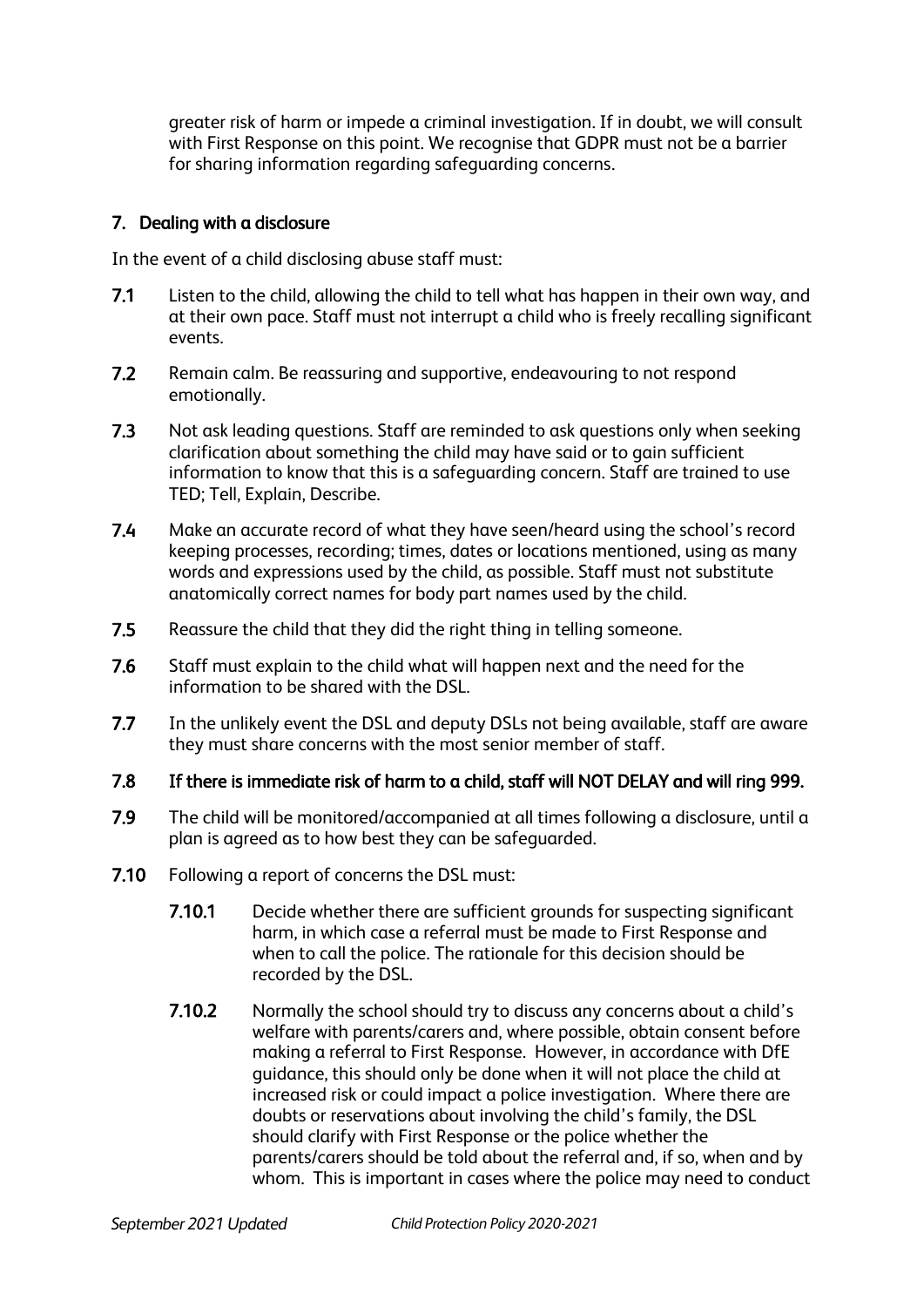greater risk of harm or impede a criminal investigation. If in doubt, we will consult with First Response on this point. We recognise that GDPR must not be a barrier for sharing information regarding safeguarding concerns.

# 7. Dealing with a disclosure

In the event of a child disclosing abuse staff must:

- 7.1 Listen to the child, allowing the child to tell what has happen in their own way, and at their own pace. Staff must not interrupt a child who is freely recalling significant events.
- 7.2 Remain calm. Be reassuring and supportive, endeavouring to not respond emotionally.
- 7.3 Not ask leading questions. Staff are reminded to ask questions only when seeking clarification about something the child may have said or to gain sufficient information to know that this is a safeguarding concern. Staff are trained to use TED; Tell, Explain, Describe.
- 7.4 Make an accurate record of what they have seen/heard using the school's record keeping processes, recording; times, dates or locations mentioned, using as many words and expressions used by the child, as possible. Staff must not substitute anatomically correct names for body part names used by the child.
- 7.5 Reassure the child that they did the right thing in telling someone.
- 7.6 Staff must explain to the child what will happen next and the need for the information to be shared with the DSL.
- 7.7 In the unlikely event the DSL and deputy DSLs not being available, staff are aware they must share concerns with the most senior member of staff.
- 7.8 If there is immediate risk of harm to a child, staff will NOT DELAY and will ring 999.
- 7.9 The child will be monitored/accompanied at all times following a disclosure, until a plan is agreed as to how best they can be safeguarded.
- 7.10 Following a report of concerns the DSL must:
	- 7.10.1 Decide whether there are sufficient grounds for suspecting significant harm, in which case a referral must be made to First Response and when to call the police. The rationale for this decision should be recorded by the DSL.
	- 7.10.2 Normally the school should try to discuss any concerns about a child's welfare with parents/carers and, where possible, obtain consent before making a referral to First Response. However, in accordance with DfE guidance, this should only be done when it will not place the child at increased risk or could impact a police investigation. Where there are doubts or reservations about involving the child's family, the DSL should clarify with First Response or the police whether the parents/carers should be told about the referral and, if so, when and by whom. This is important in cases where the police may need to conduct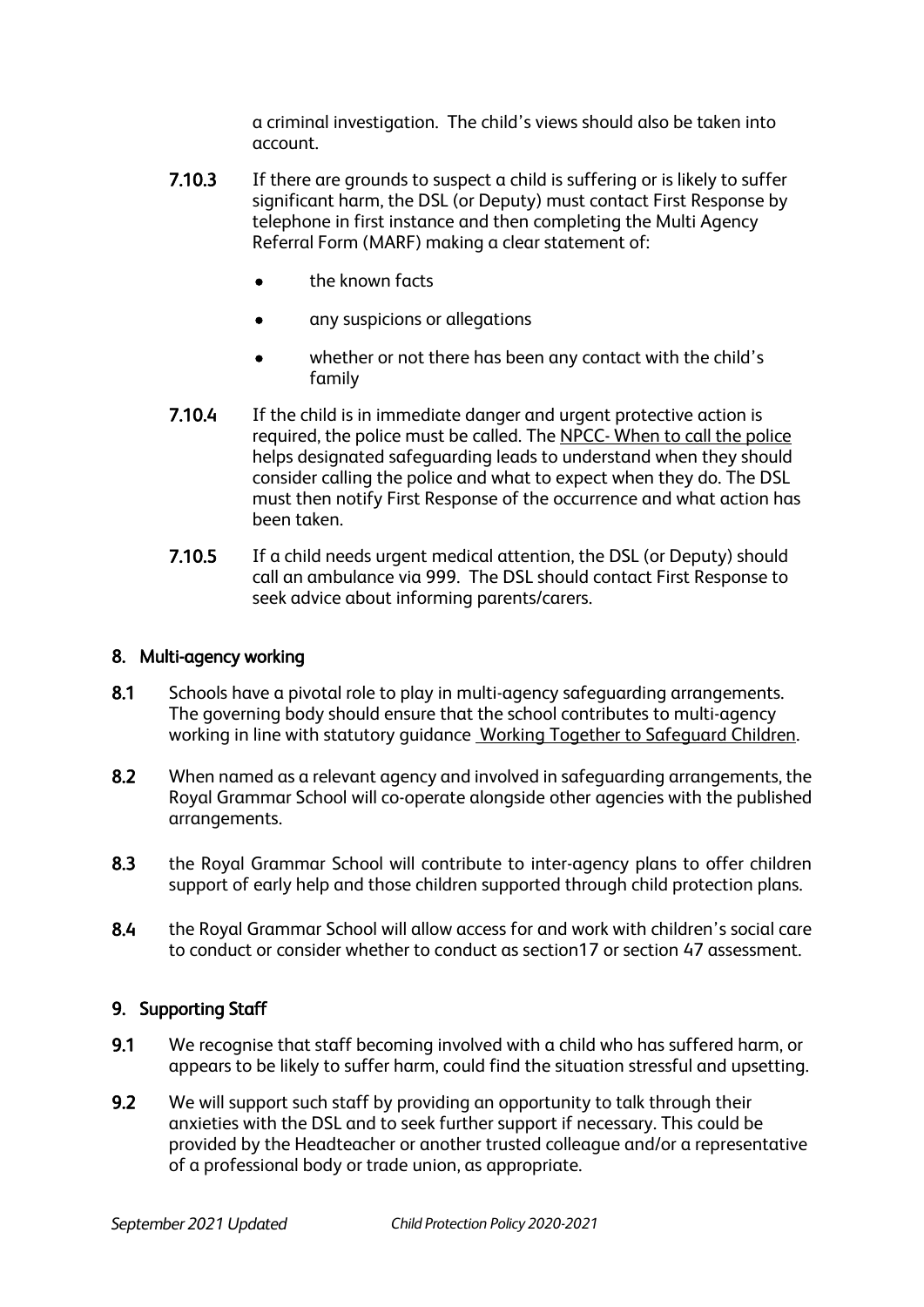a criminal investigation. The child's views should also be taken into account.

- **7.10.3** If there are grounds to suspect a child is suffering or is likely to suffer significant harm, the DSL (or Deputy) must contact First Response by telephone in first instance and then completing the Multi Agency Referral Form (MARF) making a clear statement of:
	- the known facts
	- any suspicions or allegations
	- whether or not there has been any contact with the child's family
- 7.10.4 If the child is in immediate danger and urgent protective action is required, the police must be called. The NPCC- [When to call the police](https://www.npcc.police.uk/documents/Children%20and%20Young%20people/When%20to%20call%20the%20police%20guidance%20for%20schools%20and%20colleges.pdf) helps designated safeguarding leads to understand when they should consider calling the police and what to expect when they do. The DSL must then notify First Response of the occurrence and what action has been taken.
- 7.10.5 If a child needs urgent medical attention, the DSL (or Deputy) should call an ambulance via 999. The DSL should contact First Response to seek advice about informing parents/carers.

# 8. Multi-agency working

- 8.1 Schools have a pivotal role to play in multi-agency safeguarding arrangements. The governing body should ensure that the school contributes to multi-agency working in line with statutory guidance [Working Together to Safeguard Children.](https://www.gov.uk/government/publications/working-together-to-safeguard-children--2)
- 8.2 When named as a relevant agency and involved in safeguarding arrangements, the Royal Grammar School will co-operate alongside other agencies with the published arrangements.
- 8.3 the Royal Grammar School will contribute to inter-agency plans to offer children support of early help and those children supported through child protection plans.
- 8.4 the Royal Grammar School will allow access for and work with children's social care to conduct or consider whether to conduct as section17 or section 47 assessment.

# 9. Supporting Staff

- 9.1 We recognise that staff becoming involved with a child who has suffered harm, or appears to be likely to suffer harm, could find the situation stressful and upsetting.
- 9.2 We will support such staff by providing an opportunity to talk through their anxieties with the DSL and to seek further support if necessary. This could be provided by the Headteacher or another trusted colleague and/or a representative of a professional body or trade union, as appropriate.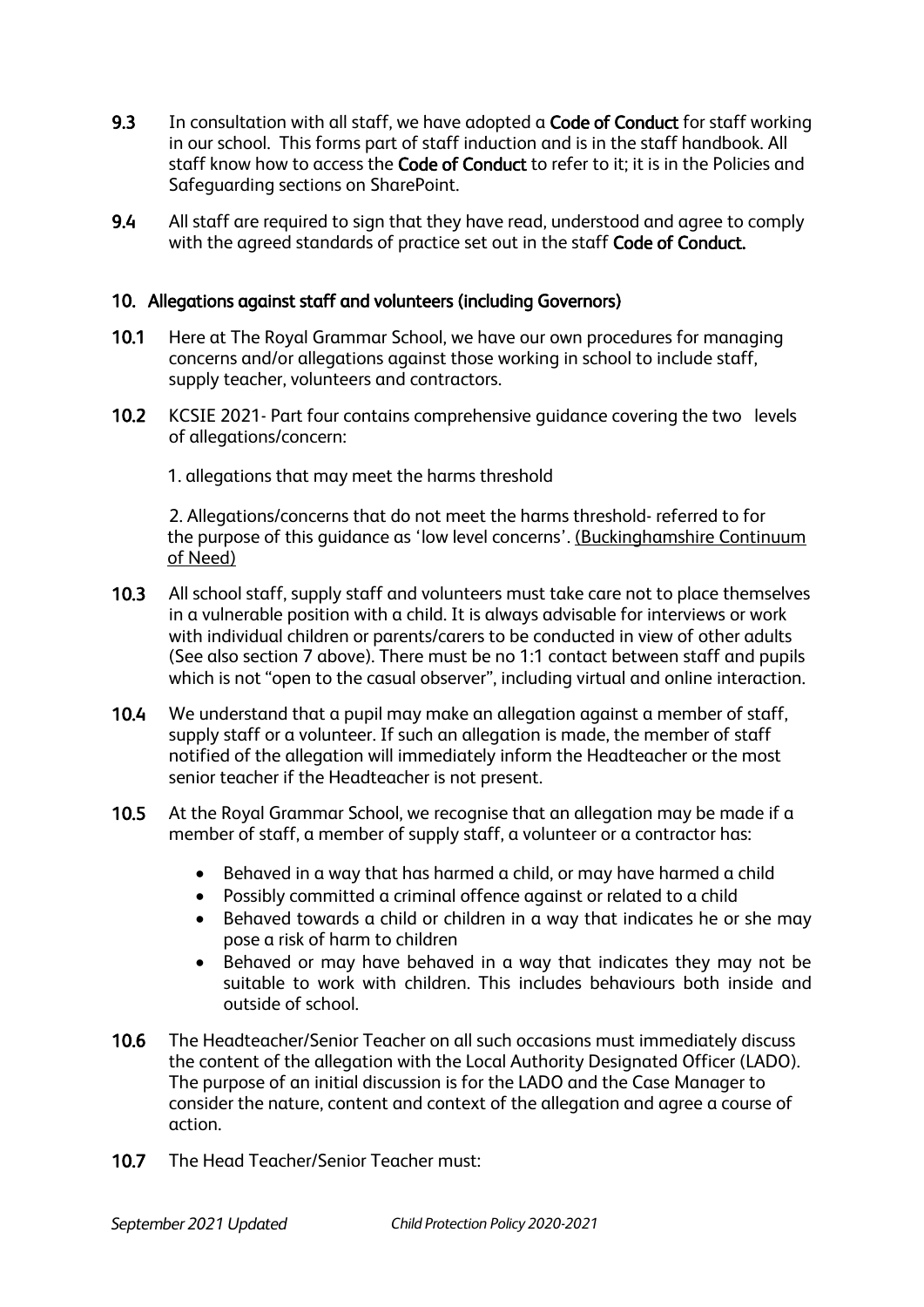- 9.3 In consultation with all staff, we have adopted a Code of Conduct for staff working in our school. This forms part of staff induction and is in the staff handbook. All staff know how to access the Code of Conduct to refer to it; it is in the Policies and Safeguarding sections on SharePoint.
- 9.4 All staff are required to sign that they have read, understood and agree to comply with the agreed standards of practice set out in the staff Code of Conduct.

#### 10. Allegations against staff and volunteers (including Governors)

- 10.1 Here at The Royal Grammar School, we have our own procedures for managing concerns and/or allegations against those working in school to include staff, supply teacher, volunteers and contractors.
- 10.2 KCSIE 2021- Part four contains comprehensive guidance covering the two levels of allegations/concern:
	- 1. allegations that may meet the harms threshold

2. Allegations/concerns that do not meet the harms threshold- referred to for the purpose of this guidance as 'low level concerns'. [\(Buckinghamshire Continuum](https://www.buckssafeguarding.org.uk/childrenpartnership/professionals/continuum-of-need/)  [of Need\)](https://www.buckssafeguarding.org.uk/childrenpartnership/professionals/continuum-of-need/)

- 10.3 All school staff, supply staff and volunteers must take care not to place themselves in a vulnerable position with a child. It is always advisable for interviews or work with individual children or parents/carers to be conducted in view of other adults (See also section 7 above). There must be no 1:1 contact between staff and pupils which is not "open to the casual observer", including virtual and online interaction.
- 10.4 We understand that a pupil may make an allegation against a member of staff, supply staff or a volunteer. If such an allegation is made, the member of staff notified of the allegation will immediately inform the Headteacher or the most senior teacher if the Headteacher is not present.
- 10.5 At the Royal Grammar School, we recognise that an allegation may be made if a member of staff, a member of supply staff, a volunteer or a contractor has:
	- Behaved in a way that has harmed a child, or may have harmed a child
	- Possibly committed a criminal offence against or related to a child
	- Behaved towards a child or children in a way that indicates he or she may pose a risk of harm to children
	- Behaved or may have behaved in a way that indicates they may not be suitable to work with children. This includes behaviours both inside and outside of school.
- 10.6 The Headteacher/Senior Teacher on all such occasions must immediately discuss the content of the allegation with the Local Authority Designated Officer (LADO). The purpose of an initial discussion is for the LADO and the Case Manager to consider the nature, content and context of the allegation and agree a course of action.
- 10.7 The Head Teacher/Senior Teacher must: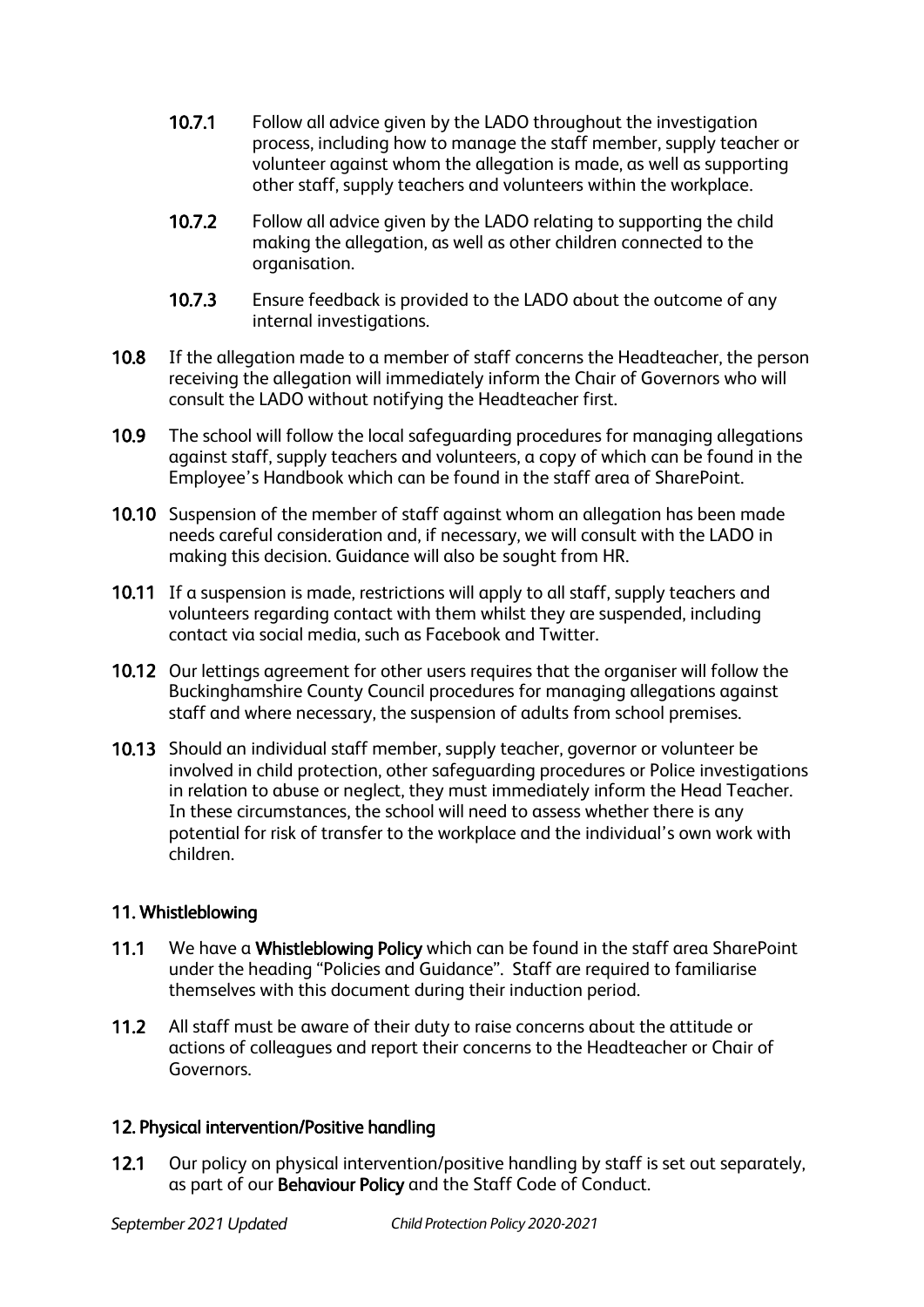- 10.7.1 Follow all advice given by the LADO throughout the investigation process, including how to manage the staff member, supply teacher or volunteer against whom the allegation is made, as well as supporting other staff, supply teachers and volunteers within the workplace.
- 10.7.2 Follow all advice given by the LADO relating to supporting the child making the allegation, as well as other children connected to the organisation.
- 10.7.3 Ensure feedback is provided to the LADO about the outcome of any internal investigations.
- 10.8 If the allegation made to a member of staff concerns the Headteacher, the person receiving the allegation will immediately inform the Chair of Governors who will consult the LADO without notifying the Headteacher first.
- 10.9 The school will follow the local safeguarding procedures for managing allegations against staff, supply teachers and volunteers, a copy of which can be found in the Employee's Handbook which can be found in the staff area of SharePoint.
- 10.10 Suspension of the member of staff against whom an allegation has been made needs careful consideration and, if necessary, we will consult with the LADO in making this decision. Guidance will also be sought from HR.
- 10.11 If a suspension is made, restrictions will apply to all staff, supply teachers and volunteers regarding contact with them whilst they are suspended, including contact via social media, such as Facebook and Twitter.
- 10.12 Our lettings agreement for other users requires that the organiser will follow the Buckinghamshire County Council procedures for managing allegations against staff and where necessary, the suspension of adults from school premises.
- 10.13 Should an individual staff member, supply teacher, governor or volunteer be involved in child protection, other safeguarding procedures or Police investigations in relation to abuse or neglect, they must immediately inform the Head Teacher. In these circumstances, the school will need to assess whether there is any potential for risk of transfer to the workplace and the individual's own work with children.

# 11. Whistleblowing

- 11.1 We have a Whistleblowing Policy which can be found in the staff area SharePoint under the heading "Policies and Guidance". Staff are required to familiarise themselves with this document during their induction period.
- 11.2 All staff must be aware of their duty to raise concerns about the attitude or actions of colleagues and report their concerns to the Headteacher or Chair of Governors.

#### 12. Physical intervention/Positive handling

12.1 Our policy on physical intervention/positive handling by staff is set out separately, as part of our Behaviour Policy and the Staff Code of Conduct.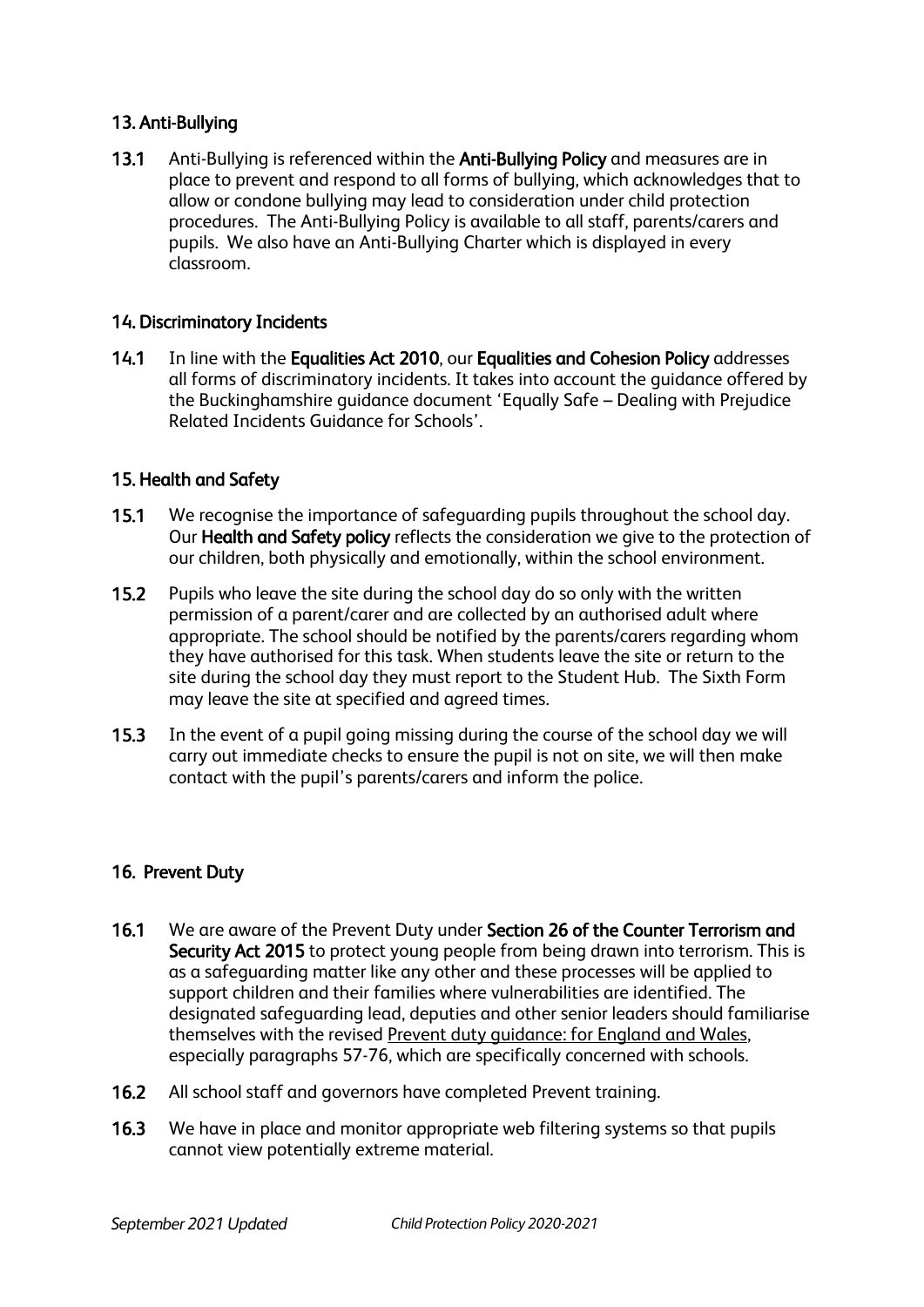# 13. Anti-Bullying

13.1 Anti-Bullying is referenced within the Anti-Bullying Policy and measures are in place to prevent and respond to all forms of bullying, which acknowledges that to allow or condone bullying may lead to consideration under child protection procedures. The Anti-Bullying Policy is available to all staff, parents/carers and pupils. We also have an Anti-Bullying Charter which is displayed in every classroom.

#### 14. Discriminatory Incidents

14.1 In line with the Equalities Act 2010, our Equalities and Cohesion Policy addresses all forms of discriminatory incidents. It takes into account the guidance offered by the Buckinghamshire guidance document 'Equally Safe – Dealing with Prejudice Related Incidents Guidance for Schools'.

#### 15. Health and Safety

- 15.1 We recognise the importance of safeguarding pupils throughout the school day. Our Health and Safety policy reflects the consideration we give to the protection of our children, both physically and emotionally, within the school environment.
- 15.2 Pupils who leave the site during the school day do so only with the written permission of a parent/carer and are collected by an authorised adult where appropriate. The school should be notified by the parents/carers regarding whom they have authorised for this task. When students leave the site or return to the site during the school day they must report to the Student Hub. The Sixth Form may leave the site at specified and agreed times.
- 15.3 In the event of a pupil going missing during the course of the school day we will carry out immediate checks to ensure the pupil is not on site, we will then make contact with the pupil's parents/carers and inform the police.

#### 16. Prevent Duty

- 16.1 We are aware of the Prevent Duty under Section 26 of the Counter Terrorism and Security Act 2015 to protect young people from being drawn into terrorism. This is as a safeguarding matter like any other and these processes will be applied to support children and their families where vulnerabilities are identified. The designated safeguarding lead, deputies and other senior leaders should familiarise themselves with the revised [Prevent duty guidance: for England and Wales,](https://www.gov.uk/government/publications/prevent-duty-guidance) especially paragraphs 57-76, which are specifically concerned with schools.
- 16.2 All school staff and governors have completed Prevent training.
- 16.3 We have in place and monitor appropriate web filtering systems so that pupils cannot view potentially extreme material.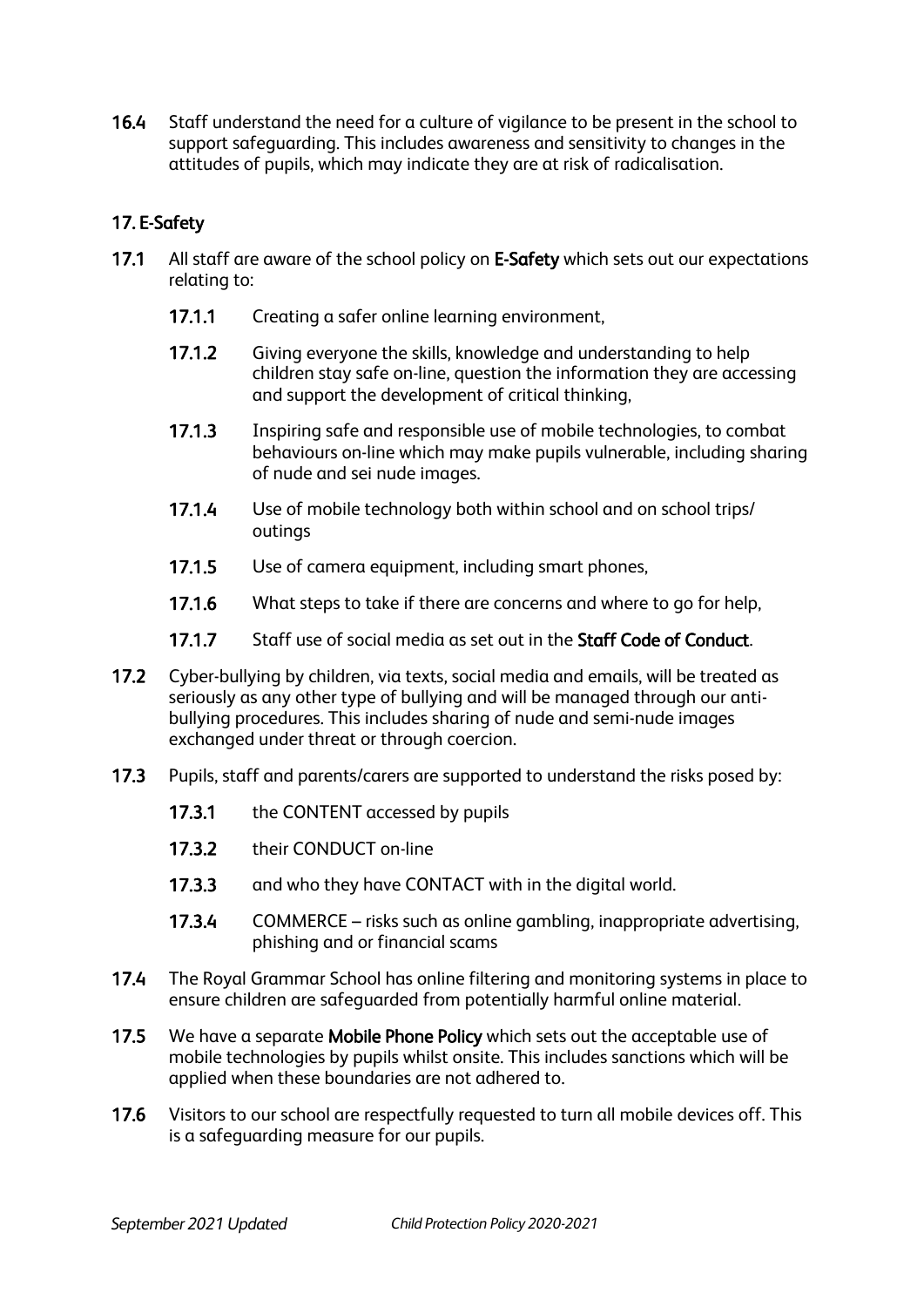16.4 Staff understand the need for a culture of vigilance to be present in the school to support safeguarding. This includes awareness and sensitivity to changes in the attitudes of pupils, which may indicate they are at risk of radicalisation.

# 17. E-Safety

- 17.1 All staff are aware of the school policy on E-Safety which sets out our expectations relating to:
	- 17.1.1 Creating a safer online learning environment.
	- 17.1.2 Giving everyone the skills, knowledge and understanding to help children stay safe on-line, question the information they are accessing and support the development of critical thinking,
	- 17.1.3 Inspiring safe and responsible use of mobile technologies, to combat behaviours on-line which may make pupils vulnerable, including sharing of nude and sei nude images.
	- 17.1.4 Use of mobile technology both within school and on school trips/ outings
	- 17.1.5 Use of camera equipment, including smart phones,
	- 17.1.6 What steps to take if there are concerns and where to go for help,
	- 17.1.7 Staff use of social media as set out in the **Staff Code of Conduct**.
- 17.2 Cyber-bullying by children, via texts, social media and emails, will be treated as seriously as any other type of bullying and will be managed through our antibullying procedures. This includes sharing of nude and semi-nude images exchanged under threat or through coercion.
- 17.3 Pupils, staff and parents/carers are supported to understand the risks posed by:
	- 17.3.1 the CONTENT accessed by pupils
	- 17.3.2 their CONDUCT on-line
	- 17.3.3 and who they have CONTACT with in the digital world.
	- 17.3.4 COMMERCE risks such as online gambling, inappropriate advertising, phishing and or financial scams
- 17.4 The Royal Grammar School has online filtering and monitoring systems in place to ensure children are safeguarded from potentially harmful online material.
- 17.5 We have a separate Mobile Phone Policy which sets out the acceptable use of mobile technologies by pupils whilst onsite. This includes sanctions which will be applied when these boundaries are not adhered to.
- 17.6 Visitors to our school are respectfully requested to turn all mobile devices off. This is a safeguarding measure for our pupils.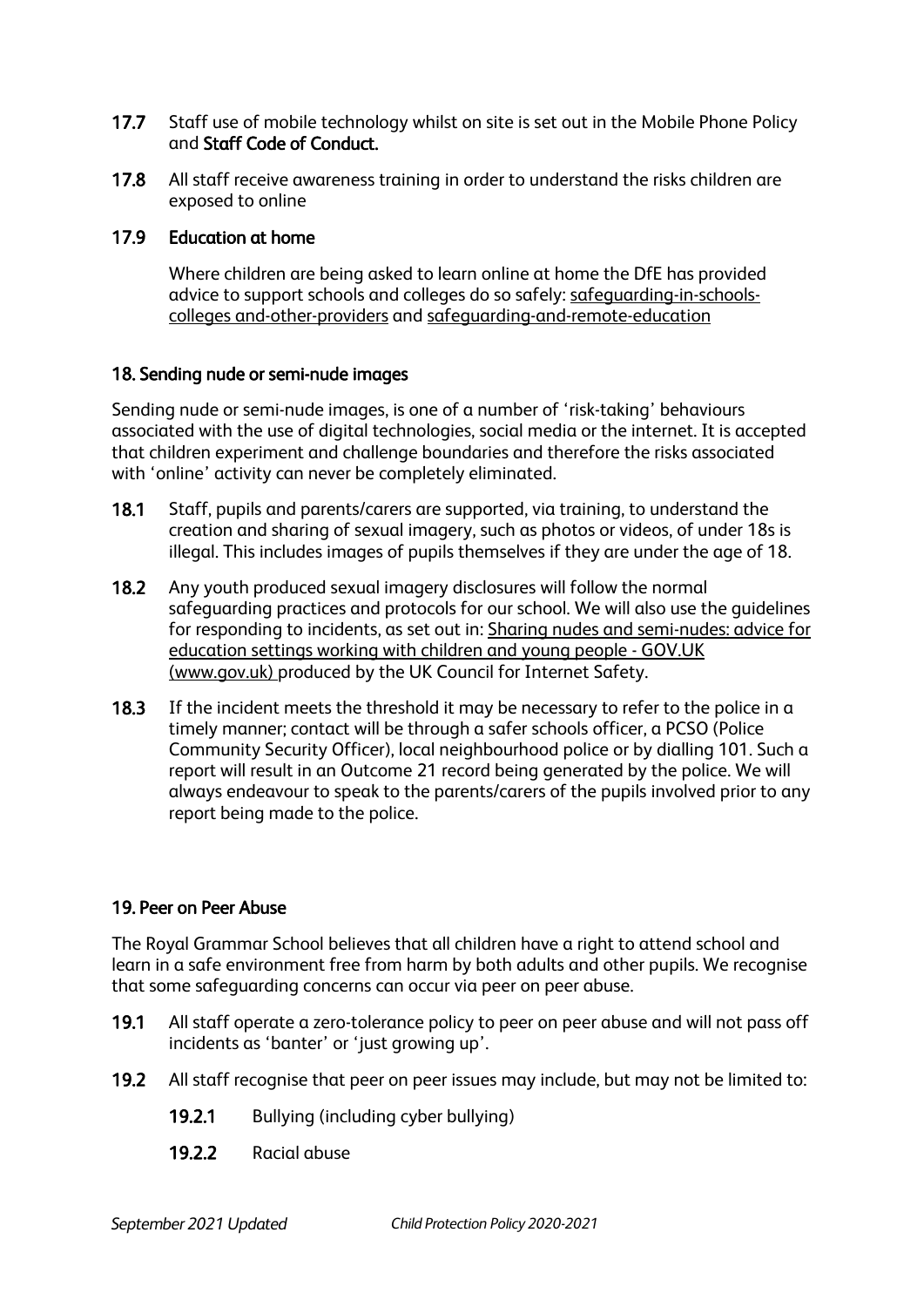- 17.7 Staff use of mobile technology whilst on site is set out in the Mobile Phone Policy and Staff Code of Conduct.
- 17.8 All staff receive awareness training in order to understand the risks children are exposed to online

#### 17.9 Education at home

Where children are being asked to learn online at home the DfE has provided advice to support schools and colleges do so safely: [safeguarding-in-schools](https://www.gov.uk/government/publications/covid-19-safeguarding-in-schools-colleges-and-other-providers/coronavirus-covid-19-safeguarding-in-schools-colleges-and-other-providers)colleges [and-other-providers](https://www.gov.uk/government/publications/covid-19-safeguarding-in-schools-colleges-and-other-providers/coronavirus-covid-19-safeguarding-in-schools-colleges-and-other-providers) and [safeguarding-and-remote-education](https://www.gov.uk/guidance/safeguarding-and-remote-education-during-coronavirus-covid-19) 

## 18. Sending nude or semi-nude images

Sending nude or semi-nude images, is one of a number of 'risk-taking' behaviours associated with the use of digital technologies, social media or the internet. It is accepted that children experiment and challenge boundaries and therefore the risks associated with 'online' activity can never be completely eliminated.

- 18.1 Staff, pupils and parents/carers are supported, via training, to understand the creation and sharing of sexual imagery, such as photos or videos, of under 18s is illegal. This includes images of pupils themselves if they are under the age of 18.
- 18.2 Any youth produced sexual imagery disclosures will follow the normal safeguarding practices and protocols for our school. We will also use the guidelines for responding to incidents, as set out in: Sharing nudes and semi-nudes: advice for education settings working with children and young people - GOV.UK (www.gov.uk) produced by the UK Council for Internet Safety.
- 18.3 If the incident meets the threshold it may be necessary to refer to the police in a timely manner; contact will be through a safer schools officer, a PCSO (Police Community Security Officer), local neighbourhood police or by dialling 101. Such a report will result in an Outcome 21 record being generated by the police. We will always endeavour to speak to the parents/carers of the pupils involved prior to any report being made to the police.

# 19. Peer on Peer Abuse

The Royal Grammar School believes that all children have a right to attend school and learn in a safe environment free from harm by both adults and other pupils. We recognise that some safeguarding concerns can occur via peer on peer abuse.

- 19.1 All staff operate a zero-tolerance policy to peer on peer abuse and will not pass off incidents as 'banter' or 'just growing up'.
- 19.2 All staff recognise that peer on peer issues may include, but may not be limited to:
	- 19.2.1 Bullying (including cyber bullying)
	- 19.2.2 Racial abuse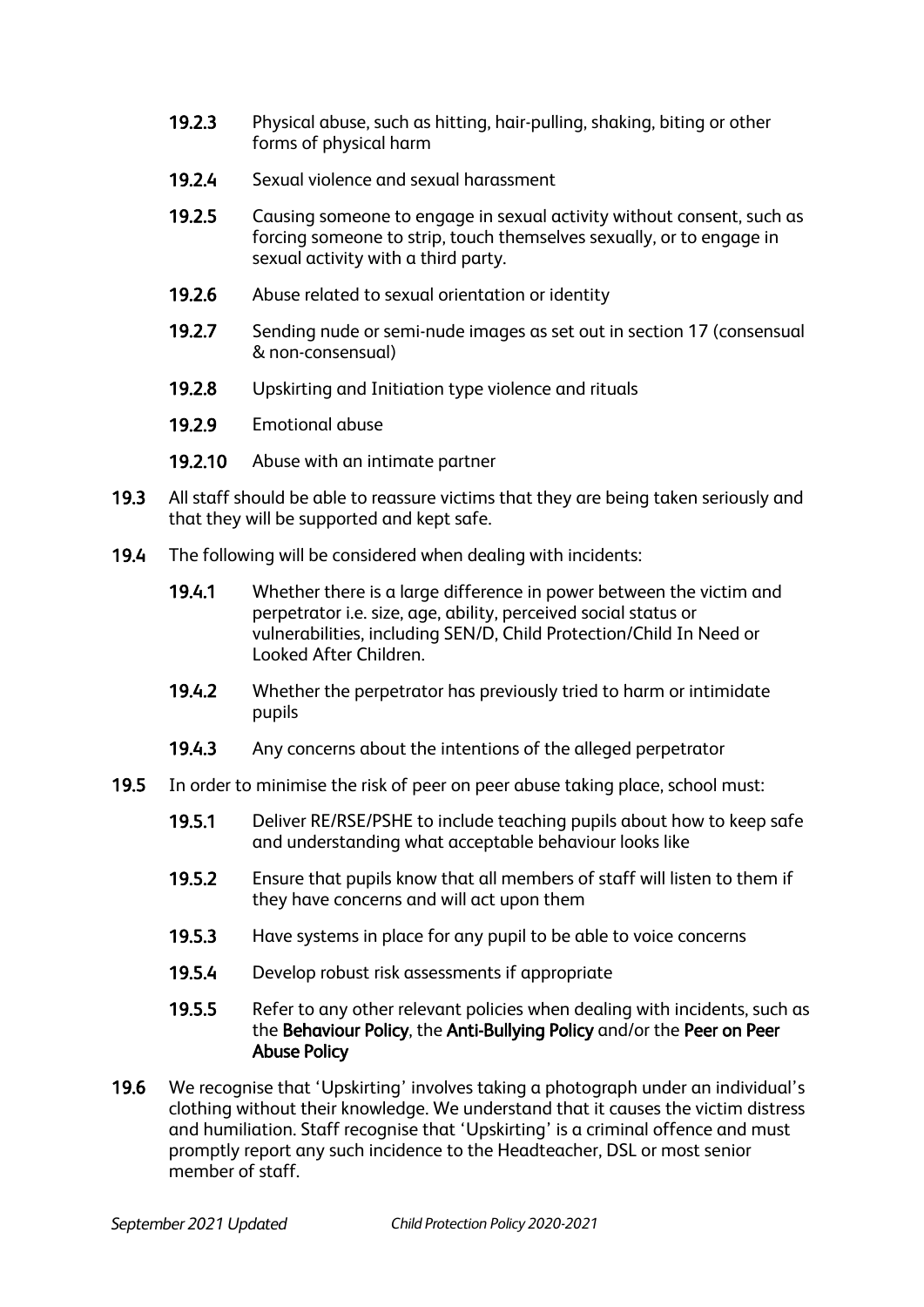- 19.2.3 Physical abuse, such as hitting, hair-pulling, shaking, biting or other forms of physical harm
- 19.2.4 Sexual violence and sexual harassment
- 19.2.5 Causing someone to engage in sexual activity without consent, such as forcing someone to strip, touch themselves sexually, or to engage in sexual activity with a third party.
- 19.2.6 Abuse related to sexual orientation or identity
- 19.2.7 Sending nude or semi-nude images as set out in section 17 (consensual & non-consensual)
- 19.2.8 Upskirting and Initiation type violence and rituals
- 19.2.9 Emotional abuse
- 19.2.10 Abuse with an intimate partner
- 19.3 All staff should be able to reassure victims that they are being taken seriously and that they will be supported and kept safe.
- 19.4 The following will be considered when dealing with incidents:
	- 19.4.1 Whether there is a large difference in power between the victim and perpetrator i.e. size, age, ability, perceived social status or vulnerabilities, including SEN/D, Child Protection/Child In Need or Looked After Children.
	- 19.4.2 Whether the perpetrator has previously tried to harm or intimidate pupils
	- 19.4.3 Any concerns about the intentions of the alleged perpetrator
- 19.5 In order to minimise the risk of peer on peer abuse taking place, school must:
	- 19.5.1 Deliver RE/RSE/PSHE to include teaching pupils about how to keep safe and understanding what acceptable behaviour looks like
	- 19.5.2 Ensure that pupils know that all members of staff will listen to them if they have concerns and will act upon them
	- 19.5.3 Have systems in place for any pupil to be able to voice concerns
	- 19.5.4 Develop robust risk assessments if appropriate
	- 19.5.5 Refer to any other relevant policies when dealing with incidents, such as the Behaviour Policy, the Anti-Bullying Policy and/or the Peer on Peer Abuse Policy
- 19.6 We recognise that 'Upskirting' involves taking a photograph under an individual's clothing without their knowledge. We understand that it causes the victim distress and humiliation. Staff recognise that 'Upskirting' is a criminal offence and must promptly report any such incidence to the Headteacher, DSL or most senior member of staff.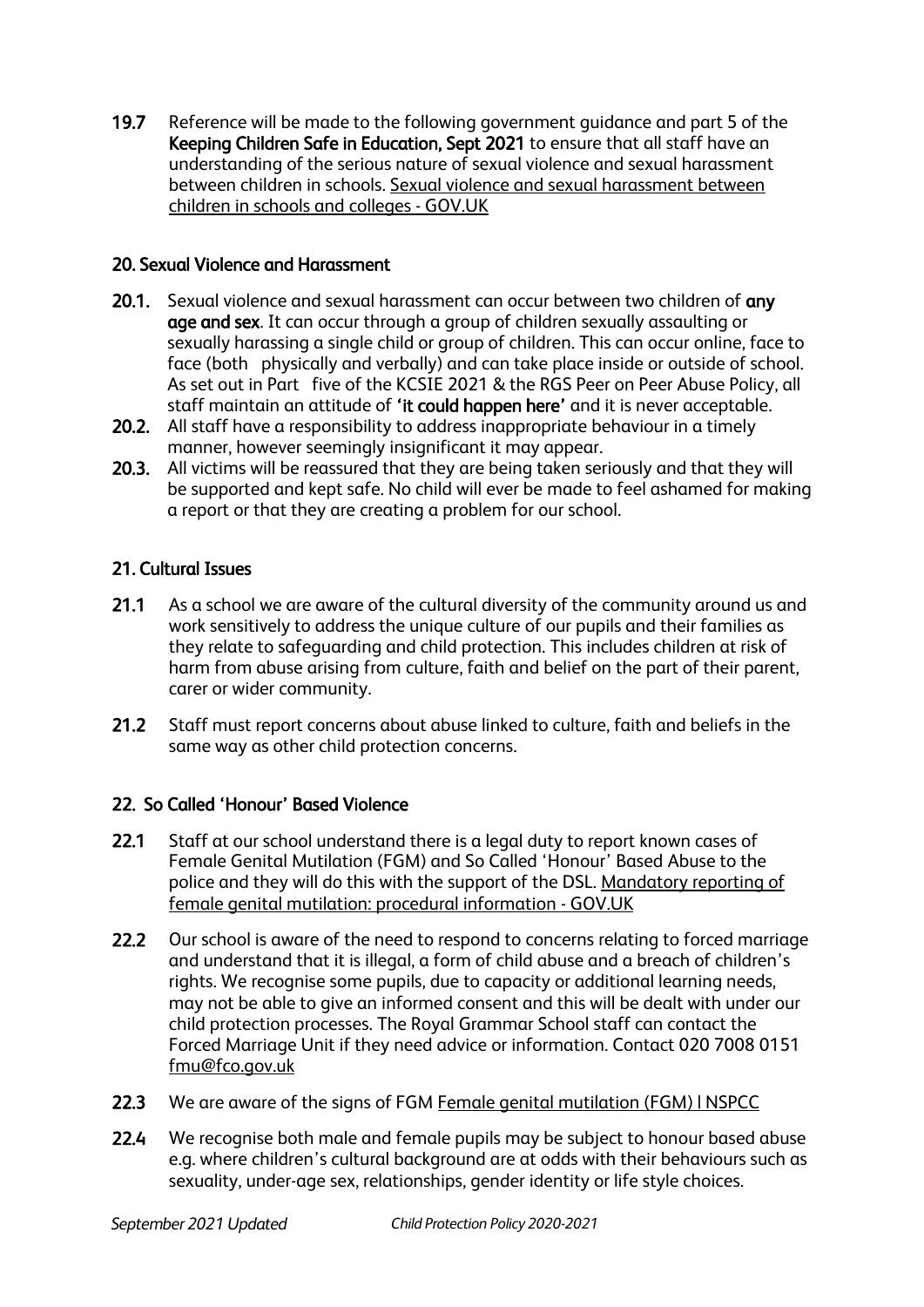19.7 Reference will be made to the following government guidance and part 5 of the Keeping Children Safe in Education, Sept 2021 to ensure that all staff have an understanding of the serious nature of sexual violence and sexual harassment between children in schools. [Sexual violence and sexual harassment between](https://www.gov.uk/government/publications/sexual-violence-and-sexual-harassment-between-children-in-schools-and-colleges)  [children in schools and colleges -](https://www.gov.uk/government/publications/sexual-violence-and-sexual-harassment-between-children-in-schools-and-colleges) GOV.UK

# 20. Sexual Violence and Harassment

- 20.1. Sexual violence and sexual harassment can occur between two children of any age and sex. It can occur through a group of children sexually assaulting or sexually harassing a single child or group of children. This can occur online, face to face (both physically and verbally) and can take place inside or outside of school. As set out in Part five of the KCSIE 2021 & the RGS Peer on Peer Abuse Policy, all staff maintain an attitude of 'it could happen here' and it is never acceptable.
- 20.2. All staff have a responsibility to address inappropriate behaviour in a timely manner, however seemingly insignificant it may appear.
- 20.3. All victims will be reassured that they are being taken seriously and that they will be supported and kept safe. No child will ever be made to feel ashamed for making a report or that they are creating a problem for our school.

# 21. Cultural Issues

- 21.1 As a school we are aware of the cultural diversity of the community around us and work sensitively to address the unique culture of our pupils and their families as they relate to safeguarding and child protection. This includes children at risk of harm from abuse arising from culture, faith and belief on the part of their parent, carer or wider community.
- 21.2 Staff must report concerns about abuse linked to culture, faith and beliefs in the same way as other child protection concerns.

# 22. So Called 'Honour' Based Violence

- 22.1 Staff at our school understand there is a legal duty to report known cases of Female Genital Mutilation (FGM) and So Called 'Honour' Based Abuse to the police and they will do this with the support of the DSL. [Mandatory reporting of](https://www.gov.uk/government/publications/mandatory-reporting-of-female-genital-mutilation-procedural-information)  [female genital mutilation: procedural information -](https://www.gov.uk/government/publications/mandatory-reporting-of-female-genital-mutilation-procedural-information) GOV.UK
- 22.2 Our school is aware of the need to respond to concerns relating to forced marriage and understand that it is illegal, a form of child abuse and a breach of children's rights. We recognise some pupils, due to capacity or additional learning needs, may not be able to give an informed consent and this will be dealt with under our child protection processes. The Royal Grammar School staff can contact the Forced Marriage Unit if they need advice or information. Contact 020 7008 0151 [fmu@fco.gov.uk](mailto:fmu@fco.gov.uk)
- 22.3 We are aware of the signs of FGM Female genital mutilation (FGM) INSPCC
- 22.4 We recognise both male and female pupils may be subject to honour based abuse e.g. where children's cultural background are at odds with their behaviours such as sexuality, under-age sex, relationships, gender identity or life style choices.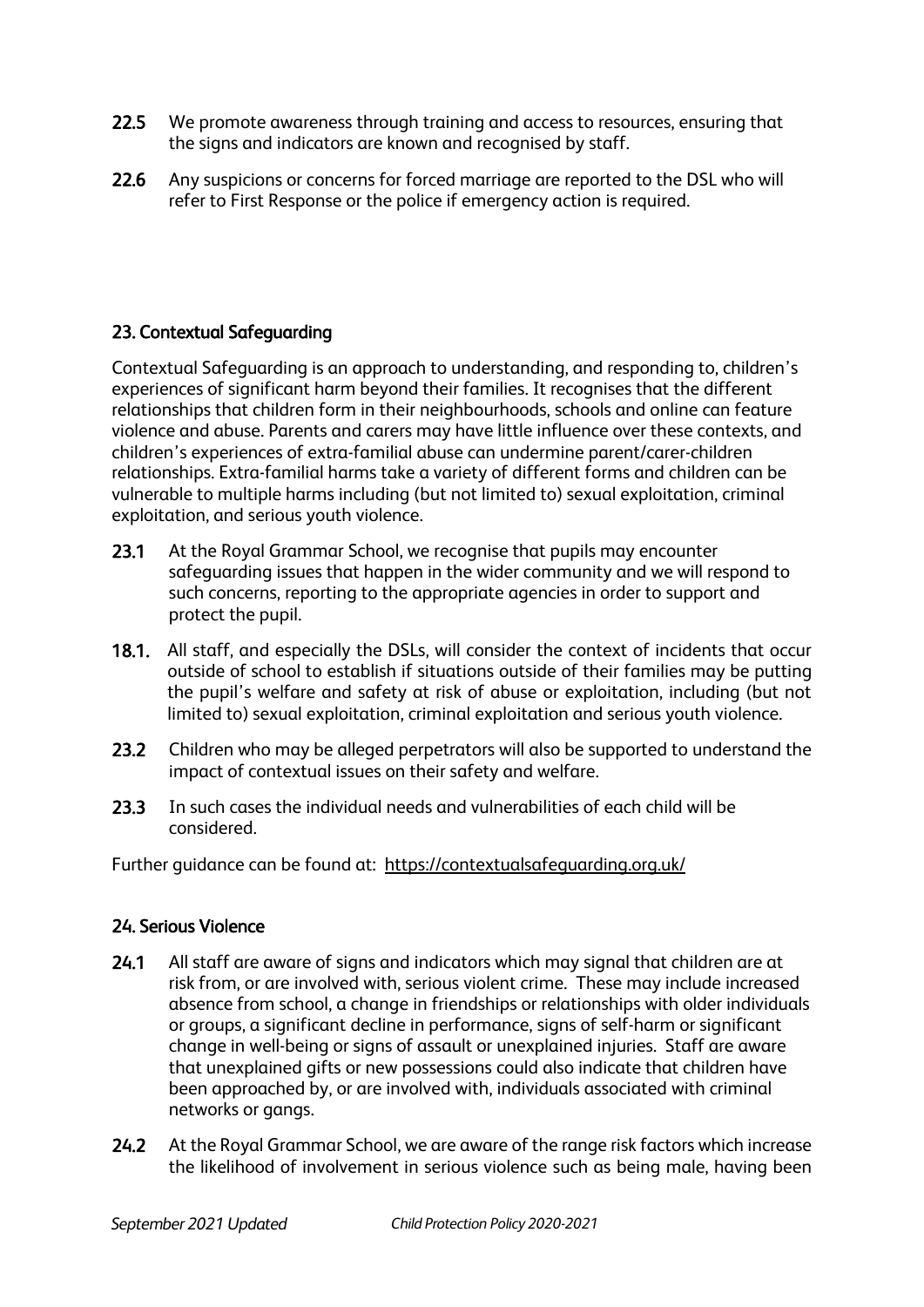- 22.5 We promote awareness through training and access to resources, ensuring that the signs and indicators are known and recognised by staff.
- 22.6 Any suspicions or concerns for forced marriage are reported to the DSL who will refer to First Response or the police if emergency action is required.

# 23. Contextual Safeguarding

Contextual Safeguarding is an approach to understanding, and responding to, children's experiences of significant harm beyond their families. It recognises that the different relationships that children form in their neighbourhoods, schools and online can feature violence and abuse. Parents and carers may have little influence over these contexts, and children's experiences of extra-familial abuse can undermine parent/carer-children relationships. Extra-familial harms take a variety of different forms and children can be vulnerable to multiple harms including (but not limited to) sexual exploitation, criminal exploitation, and serious youth violence.

- 23.1 At the Royal Grammar School, we recognise that pupils may encounter safeguarding issues that happen in the wider community and we will respond to such concerns, reporting to the appropriate agencies in order to support and protect the pupil.
- 18.1. All staff, and especially the DSLs, will consider the context of incidents that occur outside of school to establish if situations outside of their families may be putting the pupil's welfare and safety at risk of abuse or exploitation, including (but not limited to) sexual exploitation, criminal exploitation and serious youth violence.
- 23.2 Children who may be alleged perpetrators will also be supported to understand the impact of contextual issues on their safety and welfare.
- 23.3 In such cases the individual needs and vulnerabilities of each child will be considered.

Further guidance can be found at: <https://contextualsafeguarding.org.uk/>

# 24. Serious Violence

- 24.1 All staff are aware of signs and indicators which may signal that children are at risk from, or are involved with, serious violent crime. These may include increased absence from school, a change in friendships or relationships with older individuals or groups, a significant decline in performance, signs of self-harm or significant change in well-being or signs of assault or unexplained injuries. Staff are aware that unexplained gifts or new possessions could also indicate that children have been approached by, or are involved with, individuals associated with criminal networks or gangs.
- 24.2 At the Royal Grammar School, we are aware of the range risk factors which increase the likelihood of involvement in serious violence such as being male, having been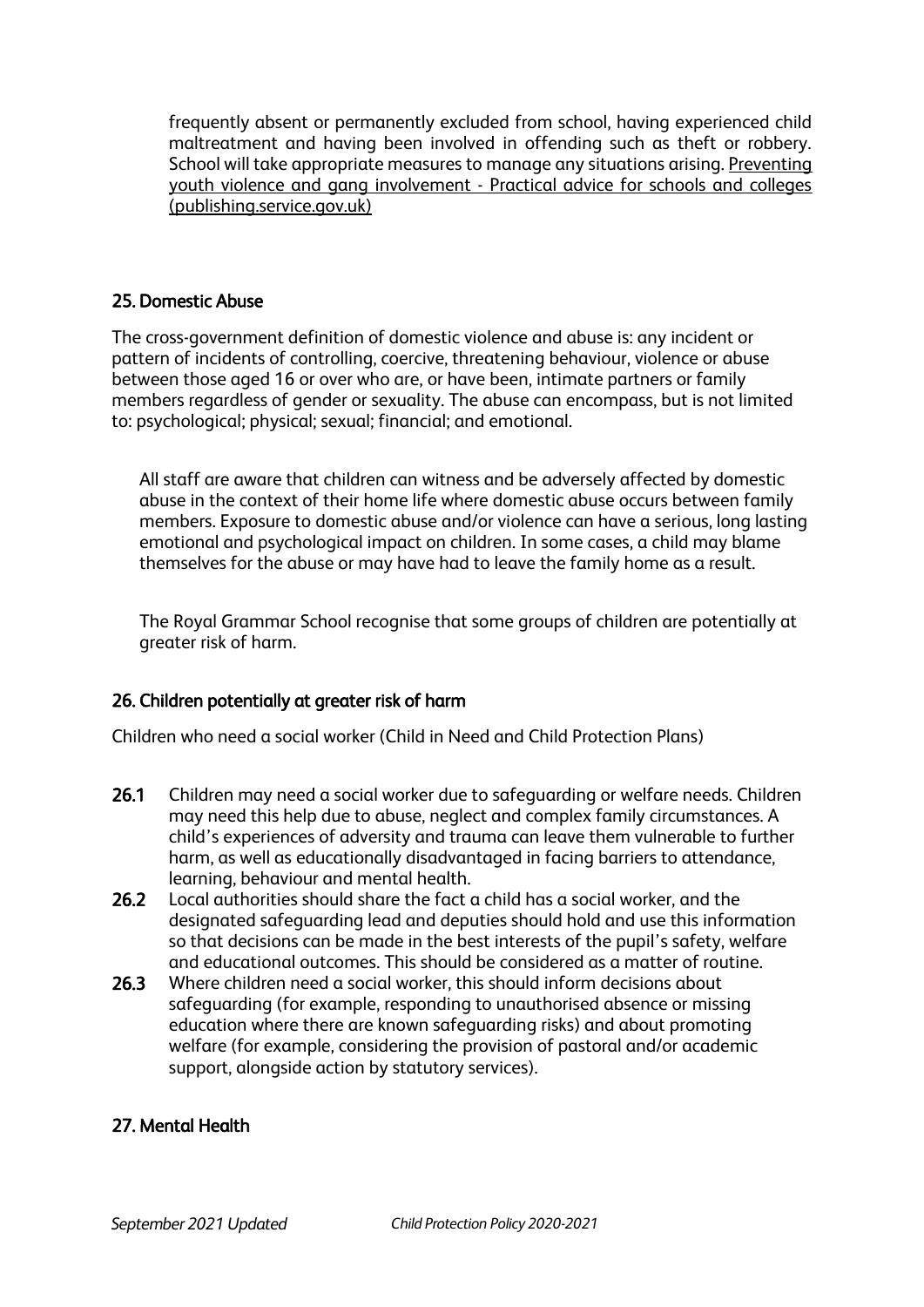frequently absent or permanently excluded from school, having experienced child maltreatment and having been involved in offending such as theft or robbery. School will take appropriate measures to manage any situations arising. [Preventing](https://assets.publishing.service.gov.uk/government/uploads/system/uploads/attachment_data/file/418131/Preventing_youth_violence_and_gang_involvement_v3_March2015.pdf)  youth violence and gang involvement - [Practical advice for schools and colleges](https://assets.publishing.service.gov.uk/government/uploads/system/uploads/attachment_data/file/418131/Preventing_youth_violence_and_gang_involvement_v3_March2015.pdf)  [\(publishing.service.gov.uk\)](https://assets.publishing.service.gov.uk/government/uploads/system/uploads/attachment_data/file/418131/Preventing_youth_violence_and_gang_involvement_v3_March2015.pdf) 

## 25. Domestic Abuse

The cross-government definition of domestic violence and abuse is: any incident or pattern of incidents of controlling, coercive, threatening behaviour, violence or abuse between those aged 16 or over who are, or have been, intimate partners or family members regardless of gender or sexuality. The abuse can encompass, but is not limited to: psychological; physical; sexual; financial; and emotional.

All staff are aware that children can witness and be adversely affected by domestic abuse in the context of their home life where domestic abuse occurs between family members. Exposure to domestic abuse and/or violence can have a serious, long lasting emotional and psychological impact on children. In some cases, a child may blame themselves for the abuse or may have had to leave the family home as a result.

The Royal Grammar School recognise that some groups of children are potentially at greater risk of harm.

#### 26. Children potentially at greater risk of harm

Children who need a social worker (Child in Need and Child Protection Plans)

- 26.1 Children may need a social worker due to safeguarding or welfare needs. Children may need this help due to abuse, neglect and complex family circumstances. A child's experiences of adversity and trauma can leave them vulnerable to further harm, as well as educationally disadvantaged in facing barriers to attendance, learning, behaviour and mental health.
- 26.2 Local authorities should share the fact a child has a social worker, and the designated safeguarding lead and deputies should hold and use this information so that decisions can be made in the best interests of the pupil's safety, welfare and educational outcomes. This should be considered as a matter of routine.
- 26.3 Where children need a social worker, this should inform decisions about safeguarding (for example, responding to unauthorised absence or missing education where there are known safeguarding risks) and about promoting welfare (for example, considering the provision of pastoral and/or academic support, alongside action by statutory services).

#### 27. Mental Health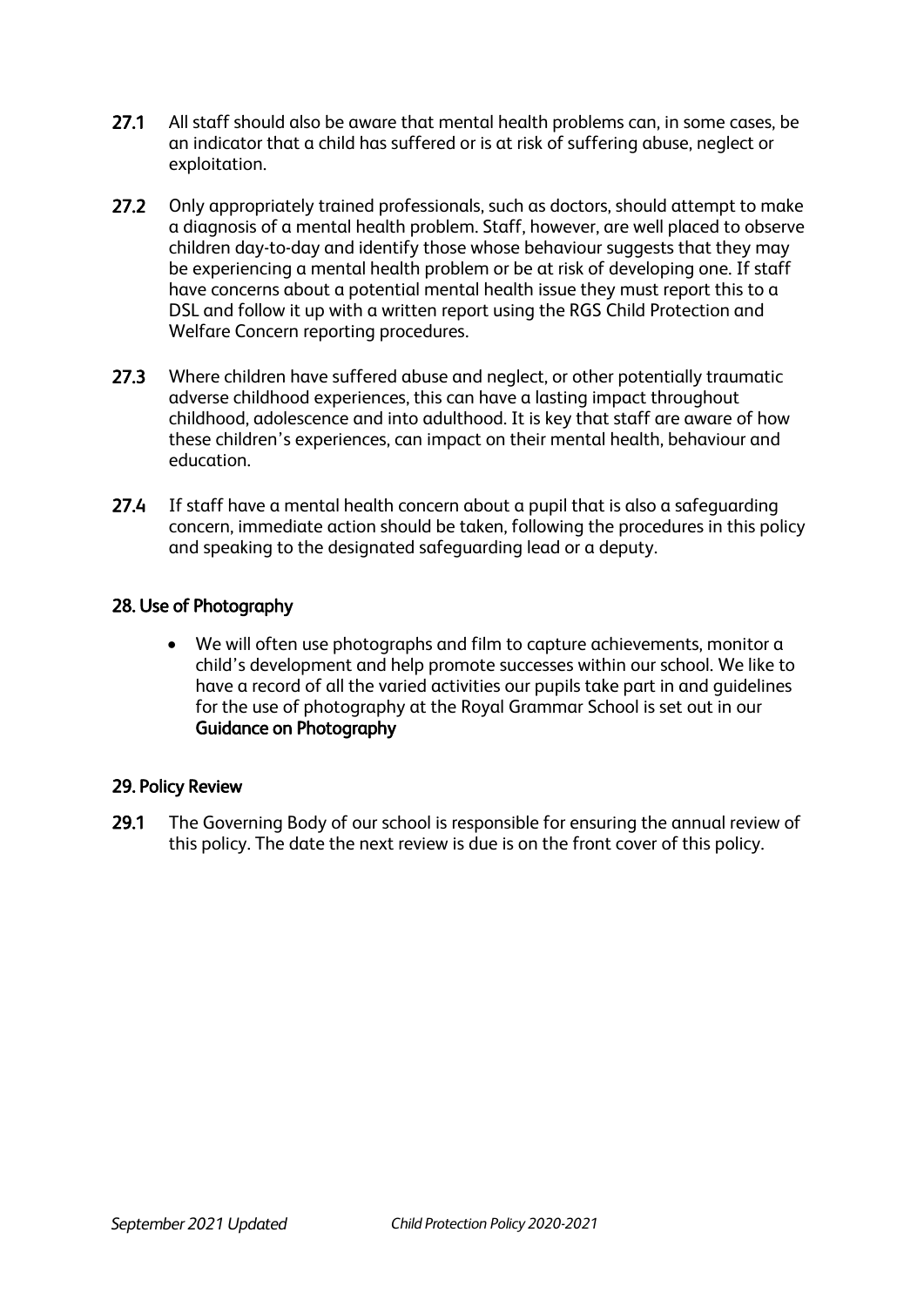- 27.1 All staff should also be aware that mental health problems can, in some cases, be an indicator that a child has suffered or is at risk of suffering abuse, neglect or exploitation.
- 27.2 Only appropriately trained professionals, such as doctors, should attempt to make a diagnosis of a mental health problem. Staff, however, are well placed to observe children day-to-day and identify those whose behaviour suggests that they may be experiencing a mental health problem or be at risk of developing one. If staff have concerns about a potential mental health issue they must report this to a DSL and follow it up with a written report using the RGS Child Protection and Welfare Concern reporting procedures.
- 27.3 Where children have suffered abuse and neglect, or other potentially traumatic adverse childhood experiences, this can have a lasting impact throughout childhood, adolescence and into adulthood. It is key that staff are aware of how these children's experiences, can impact on their mental health, behaviour and education.
- 27.4 If staff have a mental health concern about a pupil that is also a safeguarding concern, immediate action should be taken, following the procedures in this policy and speaking to the designated safeguarding lead or a deputy.

# 28. Use of Photography

• We will often use photographs and film to capture achievements, monitor a child's development and help promote successes within our school. We like to have a record of all the varied activities our pupils take part in and guidelines for the use of photography at the Royal Grammar School is set out in our Guidance on Photography

#### 29. Policy Review

29.1 The Governing Body of our school is responsible for ensuring the annual review of this policy. The date the next review is due is on the front cover of this policy.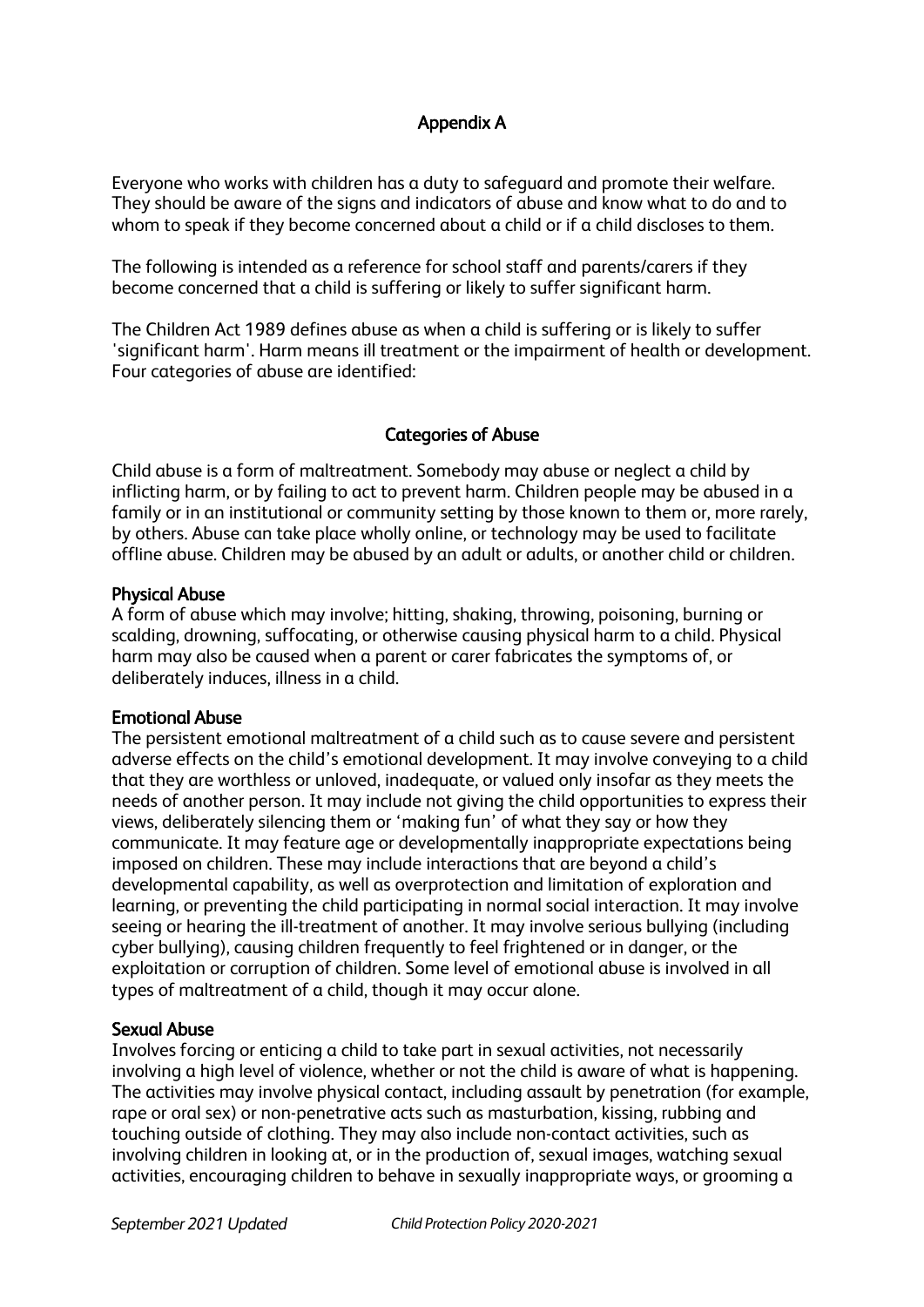# Appendix A

Everyone who works with children has a duty to safeguard and promote their welfare. They should be aware of the signs and indicators of abuse and know what to do and to whom to speak if they become concerned about a child or if a child discloses to them.

The following is intended as a reference for school staff and parents/carers if they become concerned that a child is suffering or likely to suffer significant harm.

The Children Act 1989 defines abuse as when a child is suffering or is likely to suffer 'significant harm'. Harm means ill treatment or the impairment of health or development. Four categories of abuse are identified:

#### Categories of Abuse

Child abuse is a form of maltreatment. Somebody may abuse or neglect a child by inflicting harm, or by failing to act to prevent harm. Children people may be abused in a family or in an institutional or community setting by those known to them or, more rarely, by others. Abuse can take place wholly online, or technology may be used to facilitate offline abuse. Children may be abused by an adult or adults, or another child or children.

#### Physical Abuse

A form of abuse which may involve; hitting, shaking, throwing, poisoning, burning or scalding, drowning, suffocating, or otherwise causing physical harm to a child. Physical harm may also be caused when a parent or carer fabricates the symptoms of, or deliberately induces, illness in a child.

#### Emotional Abuse

The persistent emotional maltreatment of a child such as to cause severe and persistent adverse effects on the child's emotional development. It may involve conveying to a child that they are worthless or unloved, inadequate, or valued only insofar as they meets the needs of another person. It may include not giving the child opportunities to express their views, deliberately silencing them or 'making fun' of what they say or how they communicate. It may feature age or developmentally inappropriate expectations being imposed on children. These may include interactions that are beyond a child's developmental capability, as well as overprotection and limitation of exploration and learning, or preventing the child participating in normal social interaction. It may involve seeing or hearing the ill-treatment of another. It may involve serious bullying (including cyber bullying), causing children frequently to feel frightened or in danger, or the exploitation or corruption of children. Some level of emotional abuse is involved in all types of maltreatment of a child, though it may occur alone.

#### Sexual Abuse

Involves forcing or enticing a child to take part in sexual activities, not necessarily involving a high level of violence, whether or not the child is aware of what is happening. The activities may involve physical contact, including assault by penetration (for example, rape or oral sex) or non-penetrative acts such as masturbation, kissing, rubbing and touching outside of clothing. They may also include non-contact activities, such as involving children in looking at, or in the production of, sexual images, watching sexual activities, encouraging children to behave in sexually inappropriate ways, or grooming a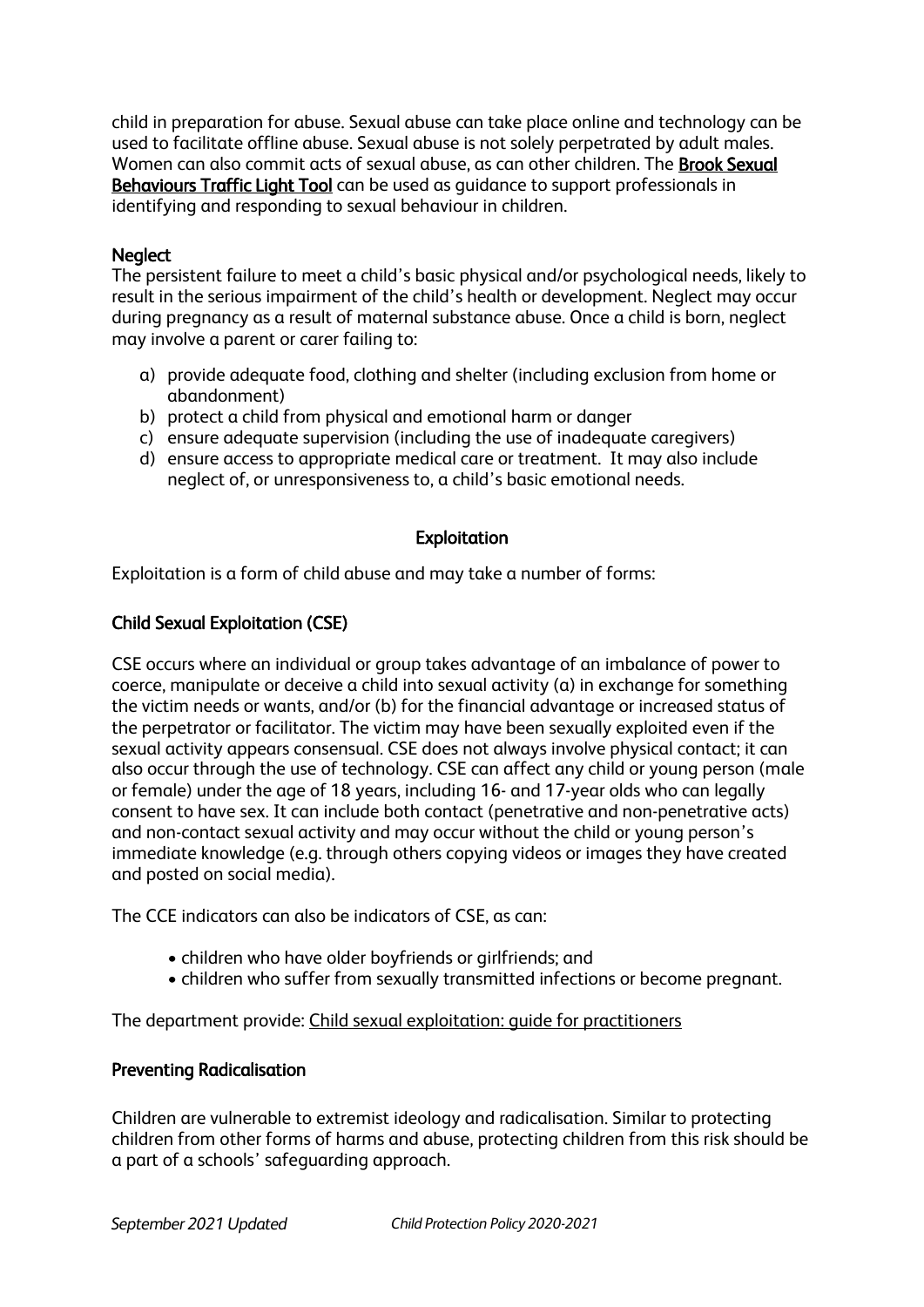child in preparation for abuse. Sexual abuse can take place online and technology can be used to facilitate offline abuse. Sexual abuse is not solely perpetrated by adult males. Women can also commit acts of sexual abuse, as can other children. The [Brook Sexual](https://www.brook.org.uk/our-work/the-sexual-behaviours-traffic-light-tool)  [Behaviours Traffic Light Tool](https://www.brook.org.uk/our-work/the-sexual-behaviours-traffic-light-tool) can be used as guidance to support professionals in identifying and responding to sexual behaviour in children.

#### **Neglect**

The persistent failure to meet a child's basic physical and/or psychological needs, likely to result in the serious impairment of the child's health or development. Neglect may occur during pregnancy as a result of maternal substance abuse. Once a child is born, neglect may involve a parent or carer failing to:

- a) provide adequate food, clothing and shelter (including exclusion from home or abandonment)
- b) protect a child from physical and emotional harm or danger
- c) ensure adequate supervision (including the use of inadequate caregivers)
- d) ensure access to appropriate medical care or treatment. It may also include neglect of, or unresponsiveness to, a child's basic emotional needs.

## Exploitation

Exploitation is a form of child abuse and may take a number of forms:

## Child Sexual Exploitation (CSE)

CSE occurs where an individual or group takes advantage of an imbalance of power to coerce, manipulate or deceive a child into sexual activity (a) in exchange for something the victim needs or wants, and/or (b) for the financial advantage or increased status of the perpetrator or facilitator. The victim may have been sexually exploited even if the sexual activity appears consensual. CSE does not always involve physical contact; it can also occur through the use of technology. CSE can affect any child or young person (male or female) under the age of 18 years, including 16- and 17-year olds who can legally consent to have sex. It can include both contact (penetrative and non-penetrative acts) and non-contact sexual activity and may occur without the child or young person's immediate knowledge (e.g. through others copying videos or images they have created and posted on social media).

The CCE indicators can also be indicators of CSE, as can:

- children who have older boyfriends or girlfriends; and
- children who suffer from sexually transmitted infections or become pregnant.

The department provide: [Child sexual exploitation: guide for practitioners](https://www.gov.uk/government/publications/child-sexual-exploitation-definition-and-guide-for-practitioners)

#### Preventing Radicalisation

Children are vulnerable to extremist ideology and radicalisation. Similar to protecting children from other forms of harms and abuse, protecting children from this risk should be a part of a schools' safeguarding approach.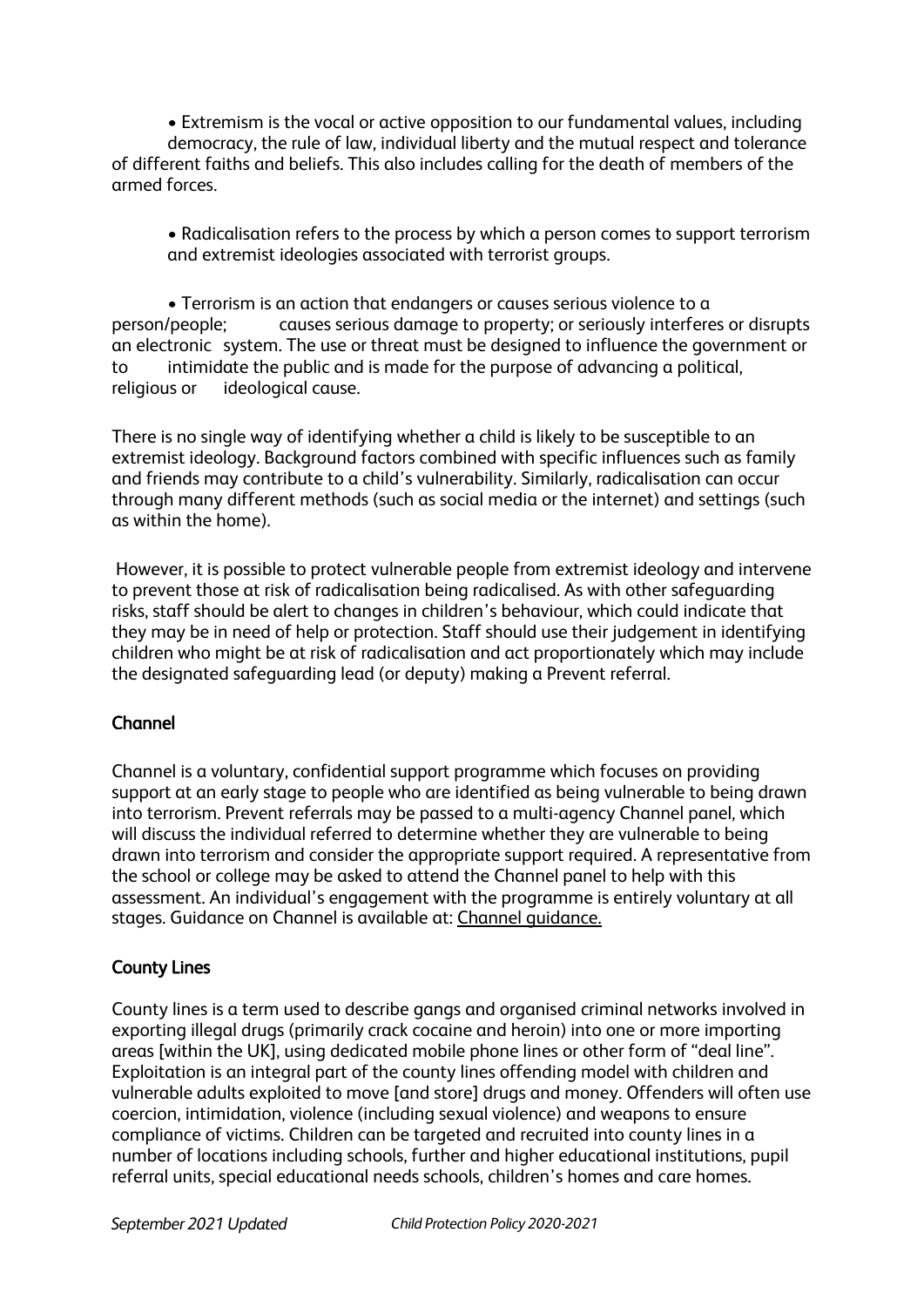• Extremism is the vocal or active opposition to our fundamental values, including democracy, the rule of law, individual liberty and the mutual respect and tolerance of different faiths and beliefs. This also includes calling for the death of members of the armed forces.

• Radicalisation refers to the process by which a person comes to support terrorism and extremist ideologies associated with terrorist groups.

• Terrorism is an action that endangers or causes serious violence to a person/people; causes serious damage to property; or seriously interferes or disrupts an electronic system. The use or threat must be designed to influence the government or to intimidate the public and is made for the purpose of advancing a political, religious or ideological cause.

There is no single way of identifying whether a child is likely to be susceptible to an extremist ideology. Background factors combined with specific influences such as family and friends may contribute to a child's vulnerability. Similarly, radicalisation can occur through many different methods (such as social media or the internet) and settings (such as within the home).

However, it is possible to protect vulnerable people from extremist ideology and intervene to prevent those at risk of radicalisation being radicalised. As with other safeguarding risks, staff should be alert to changes in children's behaviour, which could indicate that they may be in need of help or protection. Staff should use their judgement in identifying children who might be at risk of radicalisation and act proportionately which may include the designated safeguarding lead (or deputy) making a Prevent referral.

# Channel

Channel is a voluntary, confidential support programme which focuses on providing support at an early stage to people who are identified as being vulnerable to being drawn into terrorism. Prevent referrals may be passed to a multi-agency Channel panel, which will discuss the individual referred to determine whether they are vulnerable to being drawn into terrorism and consider the appropriate support required. A representative from the school or college may be asked to attend the Channel panel to help with this assessment. An individual's engagement with the programme is entirely voluntary at all stages. Guidance on Channel is available at: [Channel guidance.](https://www.gov.uk/government/publications/channel-guidance) 

# County Lines

County lines is a term used to describe gangs and organised criminal networks involved in exporting illegal drugs (primarily crack cocaine and heroin) into one or more importing areas [within the UK], using dedicated mobile phone lines or other form of "deal line". Exploitation is an integral part of the county lines offending model with children and vulnerable adults exploited to move [and store] drugs and money. Offenders will often use coercion, intimidation, violence (including sexual violence) and weapons to ensure compliance of victims. Children can be targeted and recruited into county lines in a number of locations including schools, further and higher educational institutions, pupil referral units, special educational needs schools, children's homes and care homes.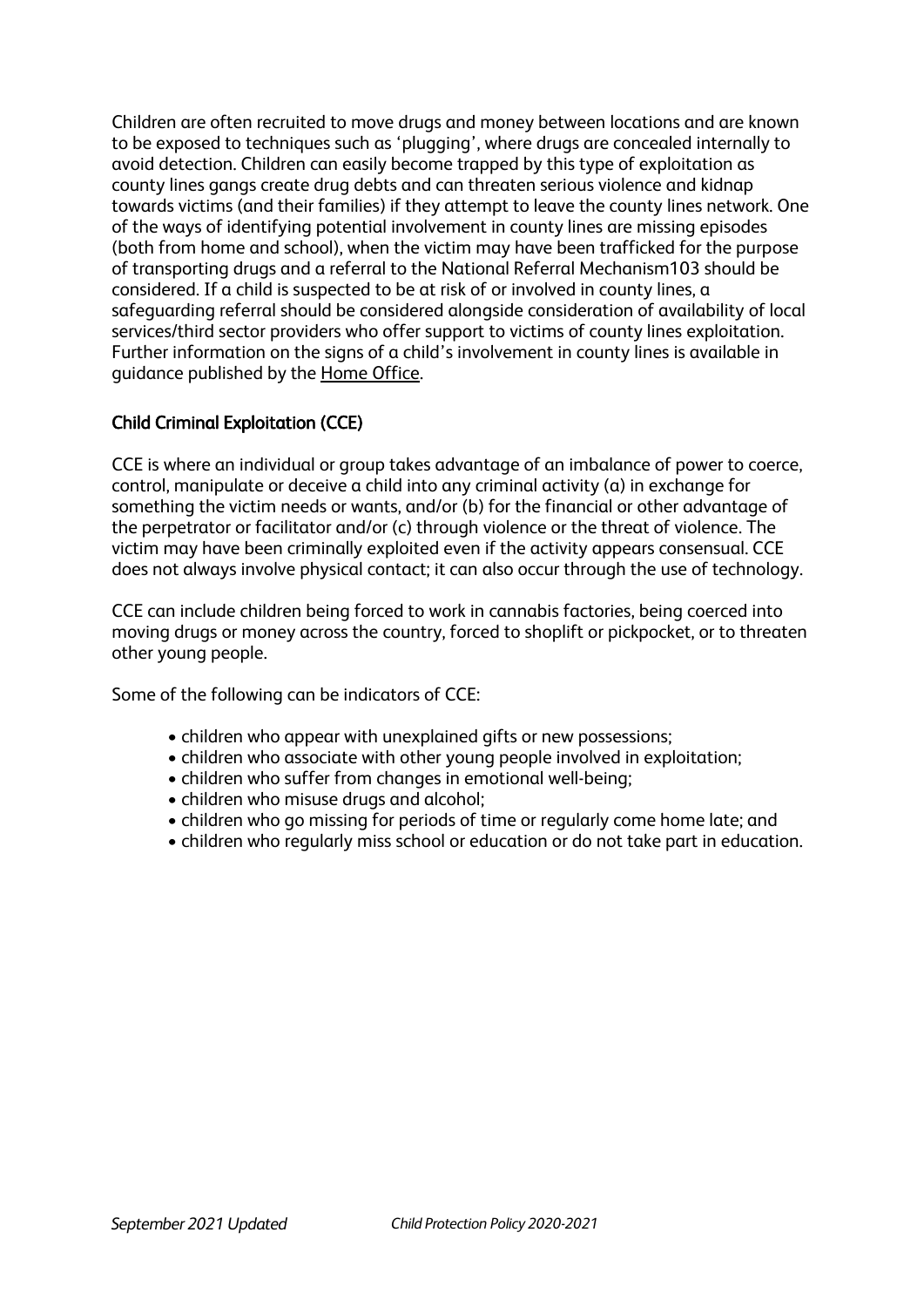Children are often recruited to move drugs and money between locations and are known to be exposed to techniques such as 'plugging', where drugs are concealed internally to avoid detection. Children can easily become trapped by this type of exploitation as county lines gangs create drug debts and can threaten serious violence and kidnap towards victims (and their families) if they attempt to leave the county lines network. One of the ways of identifying potential involvement in county lines are missing episodes (both from home and school), when the victim may have been trafficked for the purpose of transporting drugs and a referral to the National Referral Mechanism103 should be considered. If a child is suspected to be at risk of or involved in county lines, a safeguarding referral should be considered alongside consideration of availability of local services/third sector providers who offer support to victims of county lines exploitation. Further information on the signs of a child's involvement in county lines is available in guidance published by the [Home Office.](https://www.gov.uk/government/publications/criminal-exploitation-of-children-and-vulnerable-adults-county-lines)

# Child Criminal Exploitation (CCE)

CCE is where an individual or group takes advantage of an imbalance of power to coerce, control, manipulate or deceive a child into any criminal activity (a) in exchange for something the victim needs or wants, and/or (b) for the financial or other advantage of the perpetrator or facilitator and/or (c) through violence or the threat of violence. The victim may have been criminally exploited even if the activity appears consensual. CCE does not always involve physical contact; it can also occur through the use of technology.

CCE can include children being forced to work in cannabis factories, being coerced into moving drugs or money across the country, forced to shoplift or pickpocket, or to threaten other young people.

Some of the following can be indicators of CCE:

- children who appear with unexplained gifts or new possessions;
- children who associate with other young people involved in exploitation;
- children who suffer from changes in emotional well-being;
- children who misuse drugs and alcohol;
- children who go missing for periods of time or regularly come home late; and
- children who regularly miss school or education or do not take part in education.